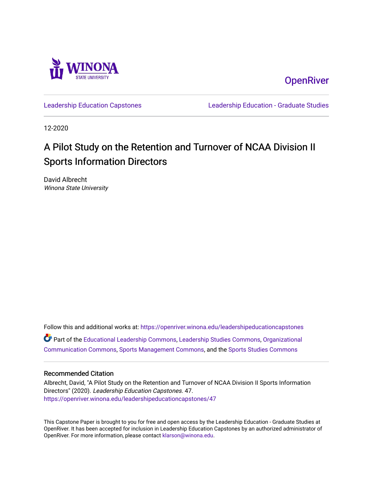

**OpenRiver** 

[Leadership Education Capstones](https://openriver.winona.edu/leadershipeducationcapstones) [Leadership Education - Graduate Studies](https://openriver.winona.edu/leadershipeducation) 

12-2020

## A Pilot Study on the Retention and Turnover of NCAA Division II Sports Information Directors

David Albrecht Winona State University

Follow this and additional works at: [https://openriver.winona.edu/leadershipeducationcapstones](https://openriver.winona.edu/leadershipeducationcapstones?utm_source=openriver.winona.edu%2Fleadershipeducationcapstones%2F47&utm_medium=PDF&utm_campaign=PDFCoverPages)  Part of the [Educational Leadership Commons,](http://network.bepress.com/hgg/discipline/1230?utm_source=openriver.winona.edu%2Fleadershipeducationcapstones%2F47&utm_medium=PDF&utm_campaign=PDFCoverPages) [Leadership Studies Commons,](http://network.bepress.com/hgg/discipline/1250?utm_source=openriver.winona.edu%2Fleadershipeducationcapstones%2F47&utm_medium=PDF&utm_campaign=PDFCoverPages) [Organizational](http://network.bepress.com/hgg/discipline/335?utm_source=openriver.winona.edu%2Fleadershipeducationcapstones%2F47&utm_medium=PDF&utm_campaign=PDFCoverPages) [Communication Commons](http://network.bepress.com/hgg/discipline/335?utm_source=openriver.winona.edu%2Fleadershipeducationcapstones%2F47&utm_medium=PDF&utm_campaign=PDFCoverPages), [Sports Management Commons](http://network.bepress.com/hgg/discipline/1193?utm_source=openriver.winona.edu%2Fleadershipeducationcapstones%2F47&utm_medium=PDF&utm_campaign=PDFCoverPages), and the [Sports Studies Commons](http://network.bepress.com/hgg/discipline/1198?utm_source=openriver.winona.edu%2Fleadershipeducationcapstones%2F47&utm_medium=PDF&utm_campaign=PDFCoverPages) 

#### Recommended Citation

Albrecht, David, "A Pilot Study on the Retention and Turnover of NCAA Division II Sports Information Directors" (2020). Leadership Education Capstones. 47. [https://openriver.winona.edu/leadershipeducationcapstones/47](https://openriver.winona.edu/leadershipeducationcapstones/47?utm_source=openriver.winona.edu%2Fleadershipeducationcapstones%2F47&utm_medium=PDF&utm_campaign=PDFCoverPages) 

This Capstone Paper is brought to you for free and open access by the Leadership Education - Graduate Studies at OpenRiver. It has been accepted for inclusion in Leadership Education Capstones by an authorized administrator of OpenRiver. For more information, please contact [klarson@winona.edu](mailto:klarson@winona.edu).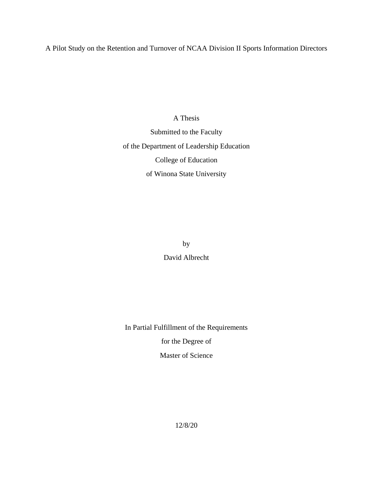A Pilot Study on the Retention and Turnover of NCAA Division II Sports Information Directors

A Thesis Submitted to the Faculty of the Department of Leadership Education College of Education of Winona State University

by

David Albrecht

In Partial Fulfillment of the Requirements

for the Degree of

Master of Science

12/8/20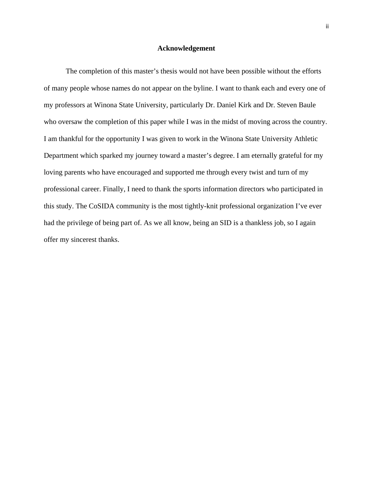#### **Acknowledgement**

<span id="page-2-0"></span>The completion of this master's thesis would not have been possible without the efforts of many people whose names do not appear on the byline. I want to thank each and every one of my professors at Winona State University, particularly Dr. Daniel Kirk and Dr. Steven Baule who oversaw the completion of this paper while I was in the midst of moving across the country. I am thankful for the opportunity I was given to work in the Winona State University Athletic Department which sparked my journey toward a master's degree. I am eternally grateful for my loving parents who have encouraged and supported me through every twist and turn of my professional career. Finally, I need to thank the sports information directors who participated in this study. The CoSIDA community is the most tightly-knit professional organization I've ever had the privilege of being part of. As we all know, being an SID is a thankless job, so I again offer my sincerest thanks.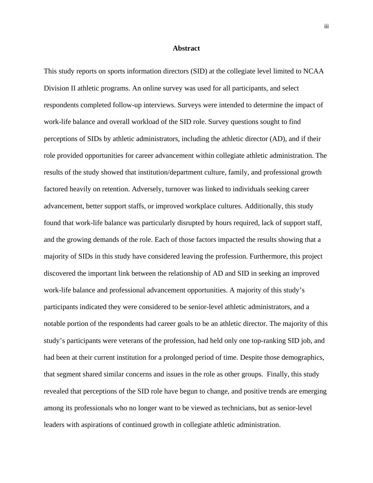#### **Abstract**

<span id="page-3-0"></span>This study reports on sports information directors (SID) at the collegiate level limited to NCAA Division II athletic programs. An online survey was used for all participants, and select respondents completed follow-up interviews. Surveys were intended to determine the impact of work-life balance and overall workload of the SID role. Survey questions sought to find perceptions of SIDs by athletic administrators, including the athletic director (AD), and if their role provided opportunities for career advancement within collegiate athletic administration. The results of the study showed that institution/department culture, family, and professional growth factored heavily on retention. Adversely, turnover was linked to individuals seeking career advancement, better support staffs, or improved workplace cultures. Additionally, this study found that work-life balance was particularly disrupted by hours required, lack of support staff, and the growing demands of the role. Each of those factors impacted the results showing that a majority of SIDs in this study have considered leaving the profession. Furthermore, this project discovered the important link between the relationship of AD and SID in seeking an improved work-life balance and professional advancement opportunities. A majority of this study's participants indicated they were considered to be senior-level athletic administrators, and a notable portion of the respondents had career goals to be an athletic director. The majority of this study's participants were veterans of the profession, had held only one top-ranking SID job, and had been at their current institution for a prolonged period of time. Despite those demographics, that segment shared similar concerns and issues in the role as other groups. Finally, this study revealed that perceptions of the SID role have begun to change, and positive trends are emerging among its professionals who no longer want to be viewed as technicians, but as senior-level leaders with aspirations of continued growth in collegiate athletic administration.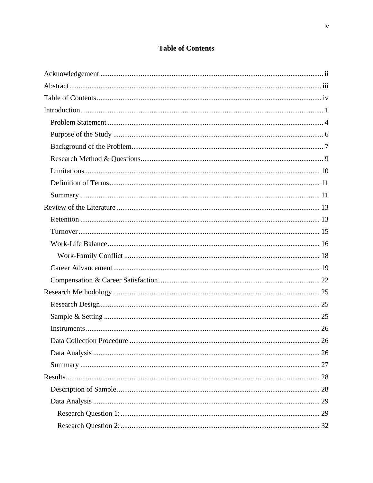### **Table of Contents**

<span id="page-4-0"></span>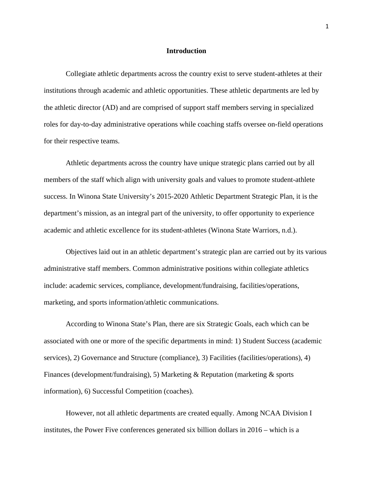#### **Introduction**

<span id="page-6-0"></span>Collegiate athletic departments across the country exist to serve student-athletes at their institutions through academic and athletic opportunities. These athletic departments are led by the athletic director (AD) and are comprised of support staff members serving in specialized roles for day-to-day administrative operations while coaching staffs oversee on-field operations for their respective teams.

Athletic departments across the country have unique strategic plans carried out by all members of the staff which align with university goals and values to promote student-athlete success. In Winona State University's 2015-2020 Athletic Department Strategic Plan, it is the department's mission, as an integral part of the university, to offer opportunity to experience academic and athletic excellence for its student-athletes (Winona State Warriors, n.d.).

Objectives laid out in an athletic department's strategic plan are carried out by its various administrative staff members. Common administrative positions within collegiate athletics include: academic services, compliance, development/fundraising, facilities/operations, marketing, and sports information/athletic communications.

According to Winona State's Plan, there are six Strategic Goals, each which can be associated with one or more of the specific departments in mind: 1) Student Success (academic services), 2) Governance and Structure (compliance), 3) Facilities (facilities/operations), 4) Finances (development/fundraising), 5) Marketing & Reputation (marketing & sports information), 6) Successful Competition (coaches).

However, not all athletic departments are created equally. Among NCAA Division I institutes, the Power Five conferences generated six billion dollars in 2016 – which is a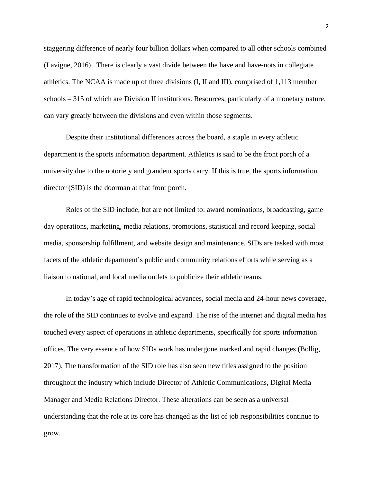staggering difference of nearly four billion dollars when compared to all other schools combined (Lavigne, 2016). There is clearly a vast divide between the have and have-nots in collegiate athletics. The NCAA is made up of three divisions (I, II and III), comprised of 1,113 member schools – 315 of which are Division II institutions. Resources, particularly of a monetary nature, can vary greatly between the divisions and even within those segments.

Despite their institutional differences across the board, a staple in every athletic department is the sports information department. Athletics is said to be the front porch of a university due to the notoriety and grandeur sports carry. If this is true, the sports information director (SID) is the doorman at that front porch.

Roles of the SID include, but are not limited to: award nominations, broadcasting, game day operations, marketing, media relations, promotions, statistical and record keeping, social media, sponsorship fulfillment, and website design and maintenance. SIDs are tasked with most facets of the athletic department's public and community relations efforts while serving as a liaison to national, and local media outlets to publicize their athletic teams.

In today's age of rapid technological advances, social media and 24-hour news coverage, the role of the SID continues to evolve and expand. The rise of the internet and digital media has touched every aspect of operations in athletic departments, specifically for sports information offices. The very essence of how SIDs work has undergone marked and rapid changes (Bollig, 2017). The transformation of the SID role has also seen new titles assigned to the position throughout the industry which include Director of Athletic Communications, Digital Media Manager and Media Relations Director. These alterations can be seen as a universal understanding that the role at its core has changed as the list of job responsibilities continue to grow.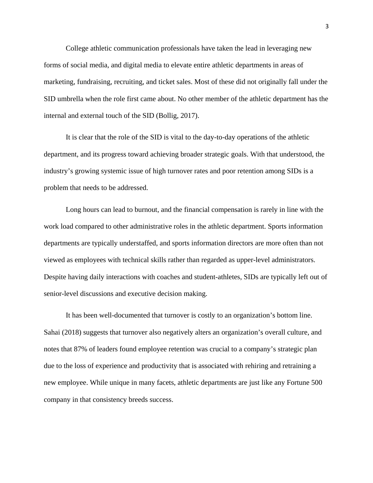College athletic communication professionals have taken the lead in leveraging new forms of social media, and digital media to elevate entire athletic departments in areas of marketing, fundraising, recruiting, and ticket sales. Most of these did not originally fall under the SID umbrella when the role first came about. No other member of the athletic department has the internal and external touch of the SID (Bollig, 2017).

It is clear that the role of the SID is vital to the day-to-day operations of the athletic department, and its progress toward achieving broader strategic goals. With that understood, the industry's growing systemic issue of high turnover rates and poor retention among SIDs is a problem that needs to be addressed.

Long hours can lead to burnout, and the financial compensation is rarely in line with the work load compared to other administrative roles in the athletic department. Sports information departments are typically understaffed, and sports information directors are more often than not viewed as employees with technical skills rather than regarded as upper-level administrators. Despite having daily interactions with coaches and student-athletes, SIDs are typically left out of senior-level discussions and executive decision making.

It has been well-documented that turnover is costly to an organization's bottom line. Sahai (2018) suggests that turnover also negatively alters an organization's overall culture, and notes that 87% of leaders found employee retention was crucial to a company's strategic plan due to the loss of experience and productivity that is associated with rehiring and retraining a new employee. While unique in many facets, athletic departments are just like any Fortune 500 company in that consistency breeds success.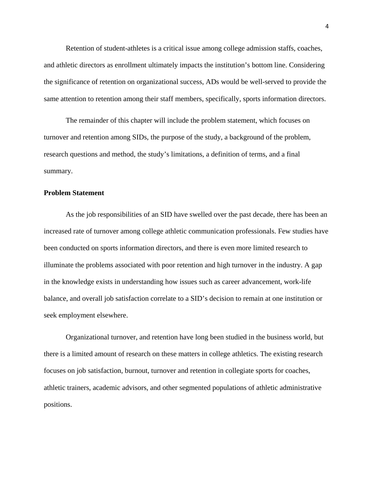Retention of student-athletes is a critical issue among college admission staffs, coaches, and athletic directors as enrollment ultimately impacts the institution's bottom line. Considering the significance of retention on organizational success, ADs would be well-served to provide the same attention to retention among their staff members, specifically, sports information directors.

The remainder of this chapter will include the problem statement, which focuses on turnover and retention among SIDs, the purpose of the study, a background of the problem, research questions and method, the study's limitations, a definition of terms, and a final summary.

#### <span id="page-9-0"></span>**Problem Statement**

As the job responsibilities of an SID have swelled over the past decade, there has been an increased rate of turnover among college athletic communication professionals. Few studies have been conducted on sports information directors, and there is even more limited research to illuminate the problems associated with poor retention and high turnover in the industry. A gap in the knowledge exists in understanding how issues such as career advancement, work-life balance, and overall job satisfaction correlate to a SID's decision to remain at one institution or seek employment elsewhere.

Organizational turnover, and retention have long been studied in the business world, but there is a limited amount of research on these matters in college athletics. The existing research focuses on job satisfaction, burnout, turnover and retention in collegiate sports for coaches, athletic trainers, academic advisors, and other segmented populations of athletic administrative positions.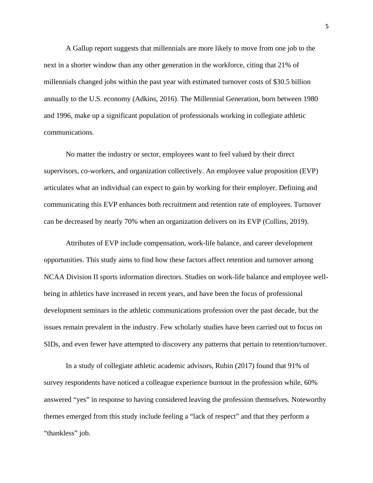A Gallup report suggests that millennials are more likely to move from one job to the next in a shorter window than any other generation in the workforce, citing that 21% of millennials changed jobs within the past year with estimated turnover costs of \$30.5 billion annually to the U.S. economy (Adkins, 2016). The Millennial Generation, born between 1980 and 1996, make up a significant population of professionals working in collegiate athletic communications.

No matter the industry or sector, employees want to feel valued by their direct supervisors, co-workers, and organization collectively. An employee value proposition (EVP) articulates what an individual can expect to gain by working for their employer. Defining and communicating this EVP enhances both recruitment and retention rate of employees. Turnover can be decreased by nearly 70% when an organization delivers on its EVP (Collins, 2019).

Attributes of EVP include compensation, work-life balance, and career development opportunities. This study aims to find how these factors affect retention and turnover among NCAA Division II sports information directors. Studies on work-life balance and employee wellbeing in athletics have increased in recent years, and have been the focus of professional development seminars in the athletic communications profession over the past decade, but the issues remain prevalent in the industry. Few scholarly studies have been carried out to focus on SIDs, and even fewer have attempted to discovery any patterns that pertain to retention/turnover.

In a study of collegiate athletic academic advisors, Rubin (2017) found that 91% of survey respondents have noticed a colleague experience burnout in the profession while, 60% answered "yes" in response to having considered leaving the profession themselves. Noteworthy themes emerged from this study include feeling a "lack of respect" and that they perform a "thankless" job.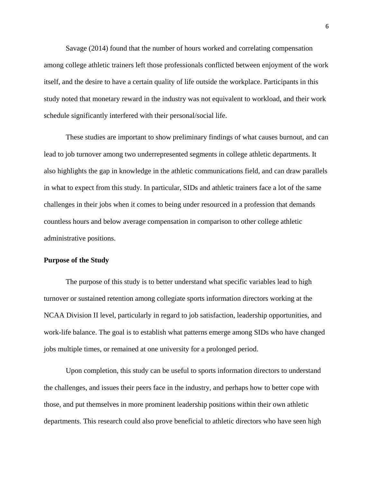Savage (2014) found that the number of hours worked and correlating compensation among college athletic trainers left those professionals conflicted between enjoyment of the work itself, and the desire to have a certain quality of life outside the workplace. Participants in this study noted that monetary reward in the industry was not equivalent to workload, and their work schedule significantly interfered with their personal/social life.

These studies are important to show preliminary findings of what causes burnout, and can lead to job turnover among two underrepresented segments in college athletic departments. It also highlights the gap in knowledge in the athletic communications field, and can draw parallels in what to expect from this study. In particular, SIDs and athletic trainers face a lot of the same challenges in their jobs when it comes to being under resourced in a profession that demands countless hours and below average compensation in comparison to other college athletic administrative positions.

#### <span id="page-11-0"></span>**Purpose of the Study**

The purpose of this study is to better understand what specific variables lead to high turnover or sustained retention among collegiate sports information directors working at the NCAA Division II level, particularly in regard to job satisfaction, leadership opportunities, and work-life balance. The goal is to establish what patterns emerge among SIDs who have changed jobs multiple times, or remained at one university for a prolonged period.

Upon completion, this study can be useful to sports information directors to understand the challenges, and issues their peers face in the industry, and perhaps how to better cope with those, and put themselves in more prominent leadership positions within their own athletic departments. This research could also prove beneficial to athletic directors who have seen high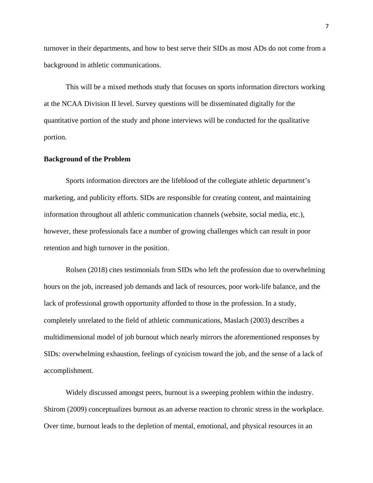turnover in their departments, and how to best serve their SIDs as most ADs do not come from a background in athletic communications.

This will be a mixed methods study that focuses on sports information directors working at the NCAA Division II level. Survey questions will be disseminated digitally for the quantitative portion of the study and phone interviews will be conducted for the qualitative portion.

#### <span id="page-12-0"></span>**Background of the Problem**

Sports information directors are the lifeblood of the collegiate athletic department's marketing, and publicity efforts. SIDs are responsible for creating content, and maintaining information throughout all athletic communication channels (website, social media, etc.), however, these professionals face a number of growing challenges which can result in poor retention and high turnover in the position.

Rolsen (2018) cites testimonials from SIDs who left the profession due to overwhelming hours on the job, increased job demands and lack of resources, poor work-life balance, and the lack of professional growth opportunity afforded to those in the profession. In a study, completely unrelated to the field of athletic communications, Maslach (2003) describes a multidimensional model of job burnout which nearly mirrors the aforementioned responses by SIDs: overwhelming exhaustion, feelings of cynicism toward the job, and the sense of a lack of accomplishment.

Widely discussed amongst peers, burnout is a sweeping problem within the industry. Shirom (2009) conceptualizes burnout as an adverse reaction to chronic stress in the workplace. Over time, burnout leads to the depletion of mental, emotional, and physical resources in an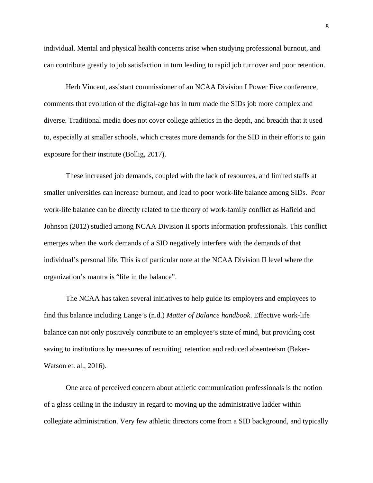individual. Mental and physical health concerns arise when studying professional burnout, and can contribute greatly to job satisfaction in turn leading to rapid job turnover and poor retention.

Herb Vincent, assistant commissioner of an NCAA Division I Power Five conference, comments that evolution of the digital-age has in turn made the SIDs job more complex and diverse. Traditional media does not cover college athletics in the depth, and breadth that it used to, especially at smaller schools, which creates more demands for the SID in their efforts to gain exposure for their institute (Bollig, 2017).

These increased job demands, coupled with the lack of resources, and limited staffs at smaller universities can increase burnout, and lead to poor work-life balance among SIDs. Poor work-life balance can be directly related to the theory of work-family conflict as Hafield and Johnson (2012) studied among NCAA Division II sports information professionals. This conflict emerges when the work demands of a SID negatively interfere with the demands of that individual's personal life. This is of particular note at the NCAA Division II level where the organization's mantra is "life in the balance".

The NCAA has taken several initiatives to help guide its employers and employees to find this balance including Lange's (n.d.) *Matter of Balance handbook*. Effective work-life balance can not only positively contribute to an employee's state of mind, but providing cost saving to institutions by measures of recruiting, retention and reduced absenteeism (Baker-Watson et. al., 2016).

One area of perceived concern about athletic communication professionals is the notion of a glass ceiling in the industry in regard to moving up the administrative ladder within collegiate administration. Very few athletic directors come from a SID background, and typically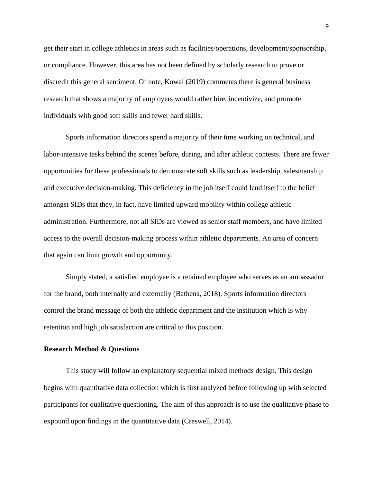get their start in college athletics in areas such as facilities/operations, development/sponsorship, or compliance. However, this area has not been defined by scholarly research to prove or discredit this general sentiment. Of note, Kowal (2019) comments there is general business research that shows a majority of employers would rather hire, incentivize, and promote individuals with good soft skills and fewer hard skills.

Sports information directors spend a majority of their time working on technical, and labor-intensive tasks behind the scenes before, during, and after athletic contests. There are fewer opportunities for these professionals to demonstrate soft skills such as leadership, salesmanship and executive decision-making. This deficiency in the job itself could lend itself to the belief amongst SIDs that they, in fact, have limited upward mobility within college athletic administration. Furthermore, not all SIDs are viewed as senior staff members, and have limited access to the overall decision-making process within athletic departments. An area of concern that again can limit growth and opportunity.

Simply stated, a satisfied employee is a retained employee who serves as an ambassador for the brand, both internally and externally (Bathena, 2018). Sports information directors control the brand message of both the athletic department and the institution which is why retention and high job satisfaction are critical to this position.

#### <span id="page-14-0"></span>**Research Method & Questions**

This study will follow an explanatory sequential mixed methods design. This design begins with quantitative data collection which is first analyzed before following up with selected participants for qualitative questioning. The aim of this approach is to use the qualitative phase to expound upon findings in the quantitative data (Creswell, 2014).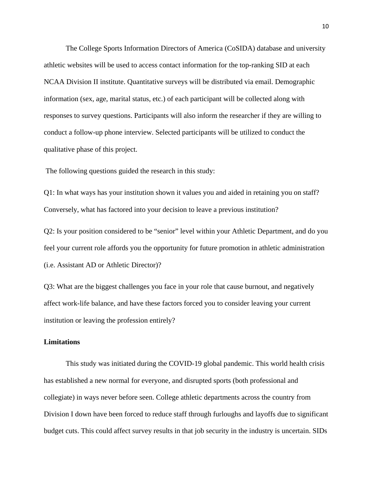The College Sports Information Directors of America (CoSIDA) database and university athletic websites will be used to access contact information for the top-ranking SID at each NCAA Division II institute. Quantitative surveys will be distributed via email. Demographic information (sex, age, marital status, etc.) of each participant will be collected along with responses to survey questions. Participants will also inform the researcher if they are willing to conduct a follow-up phone interview. Selected participants will be utilized to conduct the qualitative phase of this project.

The following questions guided the research in this study:

Q1: In what ways has your institution shown it values you and aided in retaining you on staff? Conversely, what has factored into your decision to leave a previous institution?

Q2: Is your position considered to be "senior" level within your Athletic Department, and do you feel your current role affords you the opportunity for future promotion in athletic administration (i.e. Assistant AD or Athletic Director)?

Q3: What are the biggest challenges you face in your role that cause burnout, and negatively affect work-life balance, and have these factors forced you to consider leaving your current institution or leaving the profession entirely?

#### <span id="page-15-0"></span>**Limitations**

This study was initiated during the COVID-19 global pandemic. This world health crisis has established a new normal for everyone, and disrupted sports (both professional and collegiate) in ways never before seen. College athletic departments across the country from Division I down have been forced to reduce staff through furloughs and layoffs due to significant budget cuts. This could affect survey results in that job security in the industry is uncertain. SIDs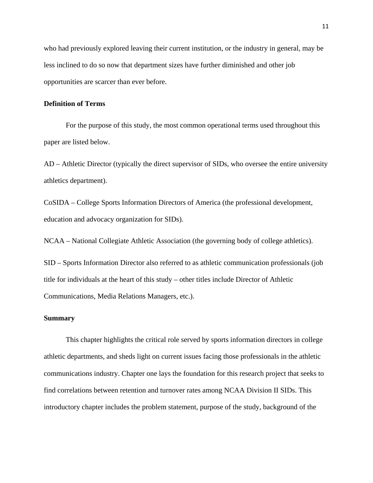who had previously explored leaving their current institution, or the industry in general, may be less inclined to do so now that department sizes have further diminished and other job opportunities are scarcer than ever before.

#### <span id="page-16-0"></span>**Definition of Terms**

For the purpose of this study, the most common operational terms used throughout this paper are listed below.

AD – Athletic Director (typically the direct supervisor of SIDs, who oversee the entire university athletics department).

CoSIDA – College Sports Information Directors of America (the professional development, education and advocacy organization for SIDs).

NCAA – National Collegiate Athletic Association (the governing body of college athletics).

SID – Sports Information Director also referred to as athletic communication professionals (job title for individuals at the heart of this study – other titles include Director of Athletic Communications, Media Relations Managers, etc.).

#### <span id="page-16-1"></span>**Summary**

This chapter highlights the critical role served by sports information directors in college athletic departments, and sheds light on current issues facing those professionals in the athletic communications industry. Chapter one lays the foundation for this research project that seeks to find correlations between retention and turnover rates among NCAA Division II SIDs. This introductory chapter includes the problem statement, purpose of the study, background of the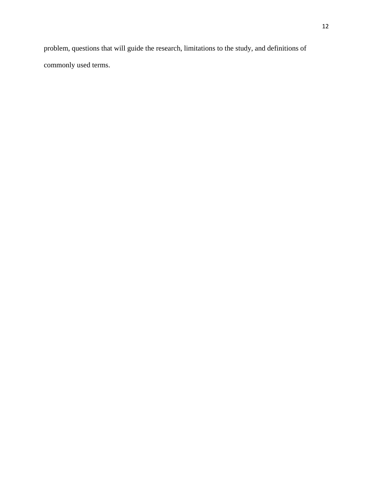problem, questions that will guide the research, limitations to the study, and definitions of commonly used terms.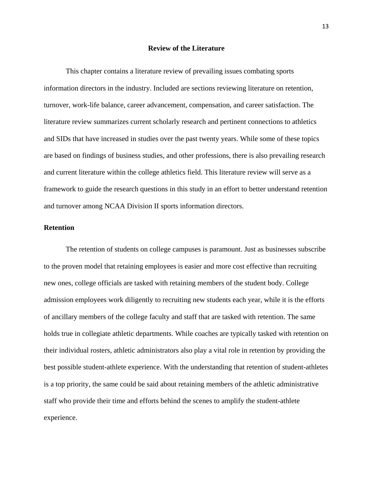#### **Review of the Literature**

<span id="page-18-0"></span>This chapter contains a literature review of prevailing issues combating sports information directors in the industry. Included are sections reviewing literature on retention, turnover, work-life balance, career advancement, compensation, and career satisfaction. The literature review summarizes current scholarly research and pertinent connections to athletics and SIDs that have increased in studies over the past twenty years. While some of these topics are based on findings of business studies, and other professions, there is also prevailing research and current literature within the college athletics field. This literature review will serve as a framework to guide the research questions in this study in an effort to better understand retention and turnover among NCAA Division II sports information directors.

#### <span id="page-18-1"></span>**Retention**

The retention of students on college campuses is paramount. Just as businesses subscribe to the proven model that retaining employees is easier and more cost effective than recruiting new ones, college officials are tasked with retaining members of the student body. College admission employees work diligently to recruiting new students each year, while it is the efforts of ancillary members of the college faculty and staff that are tasked with retention. The same holds true in collegiate athletic departments. While coaches are typically tasked with retention on their individual rosters, athletic administrators also play a vital role in retention by providing the best possible student-athlete experience. With the understanding that retention of student-athletes is a top priority, the same could be said about retaining members of the athletic administrative staff who provide their time and efforts behind the scenes to amplify the student-athlete experience.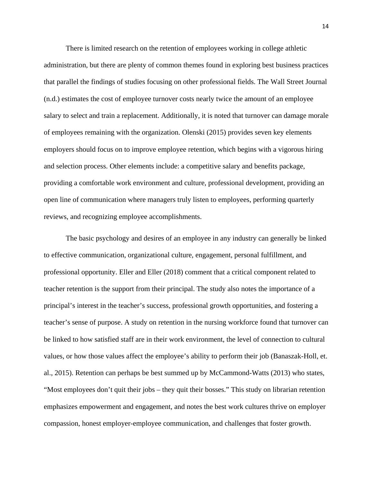There is limited research on the retention of employees working in college athletic administration, but there are plenty of common themes found in exploring best business practices that parallel the findings of studies focusing on other professional fields. The Wall Street Journal (n.d.) estimates the cost of employee turnover costs nearly twice the amount of an employee salary to select and train a replacement. Additionally, it is noted that turnover can damage morale of employees remaining with the organization. Olenski (2015) provides seven key elements employers should focus on to improve employee retention, which begins with a vigorous hiring and selection process. Other elements include: a competitive salary and benefits package, providing a comfortable work environment and culture, professional development, providing an open line of communication where managers truly listen to employees, performing quarterly reviews, and recognizing employee accomplishments.

The basic psychology and desires of an employee in any industry can generally be linked to effective communication, organizational culture, engagement, personal fulfillment, and professional opportunity. Eller and Eller (2018) comment that a critical component related to teacher retention is the support from their principal. The study also notes the importance of a principal's interest in the teacher's success, professional growth opportunities, and fostering a teacher's sense of purpose. A study on retention in the nursing workforce found that turnover can be linked to how satisfied staff are in their work environment, the level of connection to cultural values, or how those values affect the employee's ability to perform their job (Banaszak-Holl, et. al., 2015). Retention can perhaps be best summed up by McCammond-Watts (2013) who states, "Most employees don't quit their jobs – they quit their bosses." This study on librarian retention emphasizes empowerment and engagement, and notes the best work cultures thrive on employer compassion, honest employer-employee communication, and challenges that foster growth.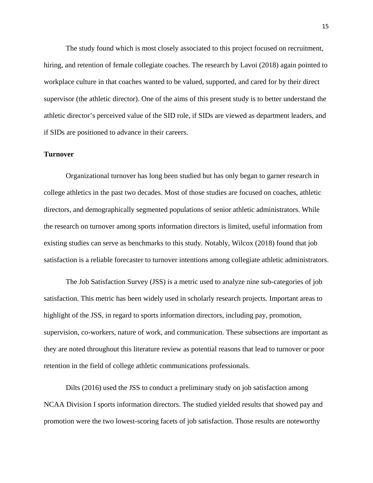The study found which is most closely associated to this project focused on recruitment, hiring, and retention of female collegiate coaches. The research by Lavoi (2018) again pointed to workplace culture in that coaches wanted to be valued, supported, and cared for by their direct supervisor (the athletic director). One of the aims of this present study is to better understand the athletic director's perceived value of the SID role, if SIDs are viewed as department leaders, and if SIDs are positioned to advance in their careers.

#### <span id="page-20-0"></span>**Turnover**

Organizational turnover has long been studied but has only began to garner research in college athletics in the past two decades. Most of those studies are focused on coaches, athletic directors, and demographically segmented populations of senior athletic administrators. While the research on turnover among sports information directors is limited, useful information from existing studies can serve as benchmarks to this study. Notably, Wilcox (2018) found that job satisfaction is a reliable forecaster to turnover intentions among collegiate athletic administrators.

The Job Satisfaction Survey (JSS) is a metric used to analyze nine sub-categories of job satisfaction. This metric has been widely used in scholarly research projects. Important areas to highlight of the JSS, in regard to sports information directors, including pay, promotion, supervision, co-workers, nature of work, and communication. These subsections are important as they are noted throughout this literature review as potential reasons that lead to turnover or poor retention in the field of college athletic communications professionals.

Dilts (2016) used the JSS to conduct a preliminary study on job satisfaction among NCAA Division I sports information directors. The studied yielded results that showed pay and promotion were the two lowest-scoring facets of job satisfaction. Those results are noteworthy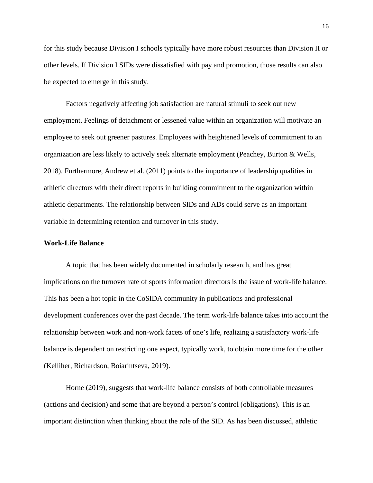for this study because Division I schools typically have more robust resources than Division II or other levels. If Division I SIDs were dissatisfied with pay and promotion, those results can also be expected to emerge in this study.

Factors negatively affecting job satisfaction are natural stimuli to seek out new employment. Feelings of detachment or lessened value within an organization will motivate an employee to seek out greener pastures. Employees with heightened levels of commitment to an organization are less likely to actively seek alternate employment (Peachey, Burton & Wells, 2018). Furthermore, Andrew et al. (2011) points to the importance of leadership qualities in athletic directors with their direct reports in building commitment to the organization within athletic departments. The relationship between SIDs and ADs could serve as an important variable in determining retention and turnover in this study.

#### <span id="page-21-0"></span>**Work-Life Balance**

A topic that has been widely documented in scholarly research, and has great implications on the turnover rate of sports information directors is the issue of work-life balance. This has been a hot topic in the CoSIDA community in publications and professional development conferences over the past decade. The term work-life balance takes into account the relationship between work and non-work facets of one's life, realizing a satisfactory work-life balance is dependent on restricting one aspect, typically work, to obtain more time for the other (Kelliher, Richardson, Boiarintseva, 2019).

Horne (2019), suggests that work-life balance consists of both controllable measures (actions and decision) and some that are beyond a person's control (obligations). This is an important distinction when thinking about the role of the SID. As has been discussed, athletic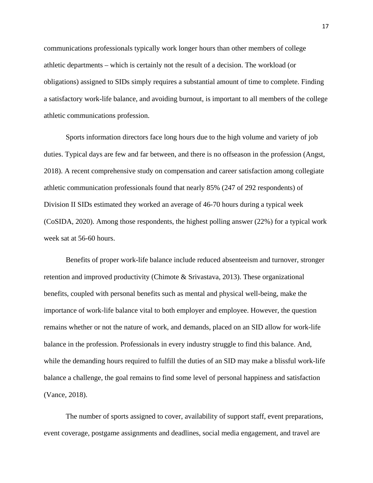communications professionals typically work longer hours than other members of college athletic departments – which is certainly not the result of a decision. The workload (or obligations) assigned to SIDs simply requires a substantial amount of time to complete. Finding a satisfactory work-life balance, and avoiding burnout, is important to all members of the college athletic communications profession.

Sports information directors face long hours due to the high volume and variety of job duties. Typical days are few and far between, and there is no offseason in the profession (Angst, 2018). A recent comprehensive study on compensation and career satisfaction among collegiate athletic communication professionals found that nearly 85% (247 of 292 respondents) of Division II SIDs estimated they worked an average of 46-70 hours during a typical week (CoSIDA, 2020). Among those respondents, the highest polling answer (22%) for a typical work week sat at 56-60 hours.

Benefits of proper work-life balance include reduced absenteeism and turnover, stronger retention and improved productivity (Chimote & Srivastava, 2013). These organizational benefits, coupled with personal benefits such as mental and physical well-being, make the importance of work-life balance vital to both employer and employee. However, the question remains whether or not the nature of work, and demands, placed on an SID allow for work-life balance in the profession. Professionals in every industry struggle to find this balance. And, while the demanding hours required to fulfill the duties of an SID may make a blissful work-life balance a challenge, the goal remains to find some level of personal happiness and satisfaction (Vance, 2018).

The number of sports assigned to cover, availability of support staff, event preparations, event coverage, postgame assignments and deadlines, social media engagement, and travel are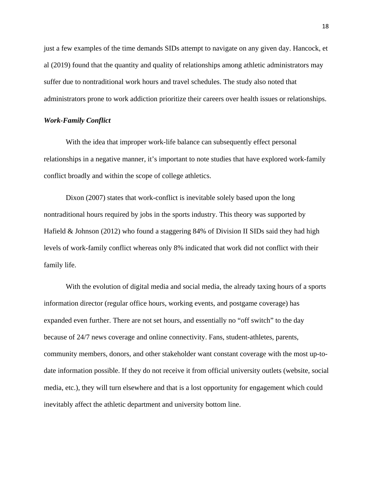just a few examples of the time demands SIDs attempt to navigate on any given day. Hancock, et al (2019) found that the quantity and quality of relationships among athletic administrators may suffer due to nontraditional work hours and travel schedules. The study also noted that administrators prone to work addiction prioritize their careers over health issues or relationships.

#### <span id="page-23-0"></span>*Work-Family Conflict*

With the idea that improper work-life balance can subsequently effect personal relationships in a negative manner, it's important to note studies that have explored work-family conflict broadly and within the scope of college athletics.

Dixon (2007) states that work-conflict is inevitable solely based upon the long nontraditional hours required by jobs in the sports industry. This theory was supported by Hafield & Johnson (2012) who found a staggering 84% of Division II SIDs said they had high levels of work-family conflict whereas only 8% indicated that work did not conflict with their family life.

With the evolution of digital media and social media, the already taxing hours of a sports information director (regular office hours, working events, and postgame coverage) has expanded even further. There are not set hours, and essentially no "off switch" to the day because of 24/7 news coverage and online connectivity. Fans, student-athletes, parents, community members, donors, and other stakeholder want constant coverage with the most up-todate information possible. If they do not receive it from official university outlets (website, social media, etc.), they will turn elsewhere and that is a lost opportunity for engagement which could inevitably affect the athletic department and university bottom line.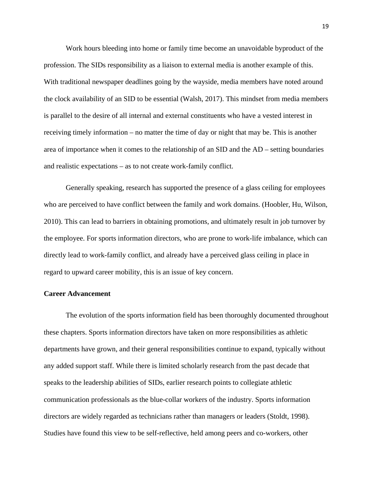Work hours bleeding into home or family time become an unavoidable byproduct of the profession. The SIDs responsibility as a liaison to external media is another example of this. With traditional newspaper deadlines going by the wayside, media members have noted around the clock availability of an SID to be essential (Walsh, 2017). This mindset from media members is parallel to the desire of all internal and external constituents who have a vested interest in receiving timely information – no matter the time of day or night that may be. This is another area of importance when it comes to the relationship of an SID and the AD – setting boundaries and realistic expectations – as to not create work-family conflict.

Generally speaking, research has supported the presence of a glass ceiling for employees who are perceived to have conflict between the family and work domains. (Hoobler, Hu, Wilson, 2010). This can lead to barriers in obtaining promotions, and ultimately result in job turnover by the employee. For sports information directors, who are prone to work-life imbalance, which can directly lead to work-family conflict, and already have a perceived glass ceiling in place in regard to upward career mobility, this is an issue of key concern.

#### <span id="page-24-0"></span>**Career Advancement**

The evolution of the sports information field has been thoroughly documented throughout these chapters. Sports information directors have taken on more responsibilities as athletic departments have grown, and their general responsibilities continue to expand, typically without any added support staff. While there is limited scholarly research from the past decade that speaks to the leadership abilities of SIDs, earlier research points to collegiate athletic communication professionals as the blue-collar workers of the industry. Sports information directors are widely regarded as technicians rather than managers or leaders (Stoldt, 1998). Studies have found this view to be self-reflective, held among peers and co-workers, other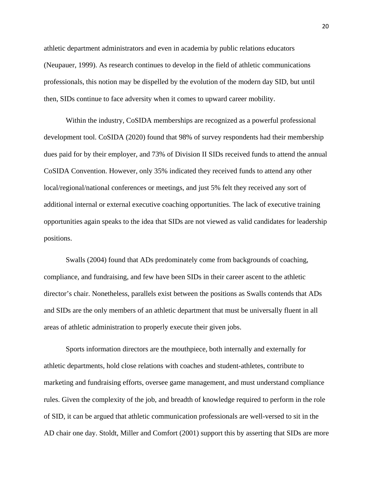athletic department administrators and even in academia by public relations educators (Neupauer, 1999). As research continues to develop in the field of athletic communications professionals, this notion may be dispelled by the evolution of the modern day SID, but until then, SIDs continue to face adversity when it comes to upward career mobility.

Within the industry, CoSIDA memberships are recognized as a powerful professional development tool. CoSIDA (2020) found that 98% of survey respondents had their membership dues paid for by their employer, and 73% of Division II SIDs received funds to attend the annual CoSIDA Convention. However, only 35% indicated they received funds to attend any other local/regional/national conferences or meetings, and just 5% felt they received any sort of additional internal or external executive coaching opportunities. The lack of executive training opportunities again speaks to the idea that SIDs are not viewed as valid candidates for leadership positions.

Swalls (2004) found that ADs predominately come from backgrounds of coaching, compliance, and fundraising, and few have been SIDs in their career ascent to the athletic director's chair. Nonetheless, parallels exist between the positions as Swalls contends that ADs and SIDs are the only members of an athletic department that must be universally fluent in all areas of athletic administration to properly execute their given jobs.

Sports information directors are the mouthpiece, both internally and externally for athletic departments, hold close relations with coaches and student-athletes, contribute to marketing and fundraising efforts, oversee game management, and must understand compliance rules. Given the complexity of the job, and breadth of knowledge required to perform in the role of SID, it can be argued that athletic communication professionals are well-versed to sit in the AD chair one day. Stoldt, Miller and Comfort (2001) support this by asserting that SIDs are more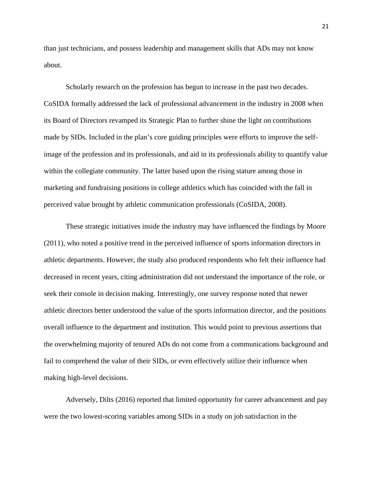than just technicians, and possess leadership and management skills that ADs may not know about.

Scholarly research on the profession has begun to increase in the past two decades. CoSIDA formally addressed the lack of professional advancement in the industry in 2008 when its Board of Directors revamped its Strategic Plan to further shine the light on contributions made by SIDs. Included in the plan's core guiding principles were efforts to improve the selfimage of the profession and its professionals, and aid in its professionals ability to quantify value within the collegiate community. The latter based upon the rising stature among those in marketing and fundraising positions in college athletics which has coincided with the fall in perceived value brought by athletic communication professionals (CoSIDA, 2008).

These strategic initiatives inside the industry may have influenced the findings by Moore (2011), who noted a positive trend in the perceived influence of sports information directors in athletic departments. However, the study also produced respondents who felt their influence had decreased in recent years, citing administration did not understand the importance of the role, or seek their console in decision making. Interestingly, one survey response noted that newer athletic directors better understood the value of the sports information director, and the positions overall influence to the department and institution. This would point to previous assertions that the overwhelming majority of tenured ADs do not come from a communications background and fail to comprehend the value of their SIDs, or even effectively utilize their influence when making high-level decisions.

Adversely, Dilts (2016) reported that limited opportunity for career advancement and pay were the two lowest-scoring variables among SIDs in a study on job satisfaction in the

21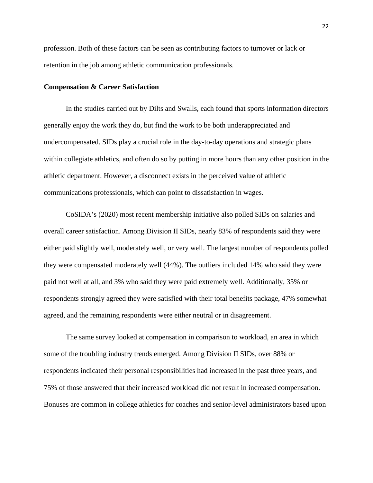profession. Both of these factors can be seen as contributing factors to turnover or lack or retention in the job among athletic communication professionals.

#### <span id="page-27-0"></span>**Compensation & Career Satisfaction**

In the studies carried out by Dilts and Swalls, each found that sports information directors generally enjoy the work they do, but find the work to be both underappreciated and undercompensated. SIDs play a crucial role in the day-to-day operations and strategic plans within collegiate athletics, and often do so by putting in more hours than any other position in the athletic department. However, a disconnect exists in the perceived value of athletic communications professionals, which can point to dissatisfaction in wages.

CoSIDA's (2020) most recent membership initiative also polled SIDs on salaries and overall career satisfaction. Among Division II SIDs, nearly 83% of respondents said they were either paid slightly well, moderately well, or very well. The largest number of respondents polled they were compensated moderately well (44%). The outliers included 14% who said they were paid not well at all, and 3% who said they were paid extremely well. Additionally, 35% or respondents strongly agreed they were satisfied with their total benefits package, 47% somewhat agreed, and the remaining respondents were either neutral or in disagreement.

The same survey looked at compensation in comparison to workload, an area in which some of the troubling industry trends emerged. Among Division II SIDs, over 88% or respondents indicated their personal responsibilities had increased in the past three years, and 75% of those answered that their increased workload did not result in increased compensation. Bonuses are common in college athletics for coaches and senior-level administrators based upon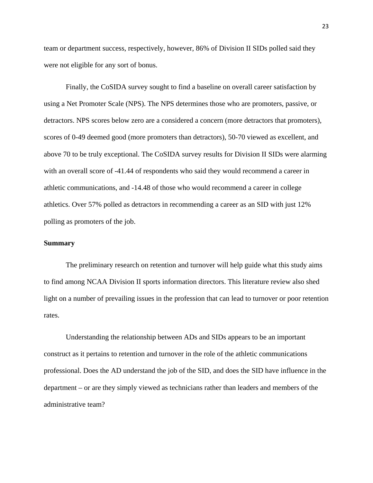team or department success, respectively, however, 86% of Division II SIDs polled said they were not eligible for any sort of bonus.

Finally, the CoSIDA survey sought to find a baseline on overall career satisfaction by using a Net Promoter Scale (NPS). The NPS determines those who are promoters, passive, or detractors. NPS scores below zero are a considered a concern (more detractors that promoters), scores of 0-49 deemed good (more promoters than detractors), 50-70 viewed as excellent, and above 70 to be truly exceptional. The CoSIDA survey results for Division II SIDs were alarming with an overall score of -41.44 of respondents who said they would recommend a career in athletic communications, and -14.48 of those who would recommend a career in college athletics. Over 57% polled as detractors in recommending a career as an SID with just 12% polling as promoters of the job.

#### **Summary**

The preliminary research on retention and turnover will help guide what this study aims to find among NCAA Division II sports information directors. This literature review also shed light on a number of prevailing issues in the profession that can lead to turnover or poor retention rates.

Understanding the relationship between ADs and SIDs appears to be an important construct as it pertains to retention and turnover in the role of the athletic communications professional. Does the AD understand the job of the SID, and does the SID have influence in the department – or are they simply viewed as technicians rather than leaders and members of the administrative team?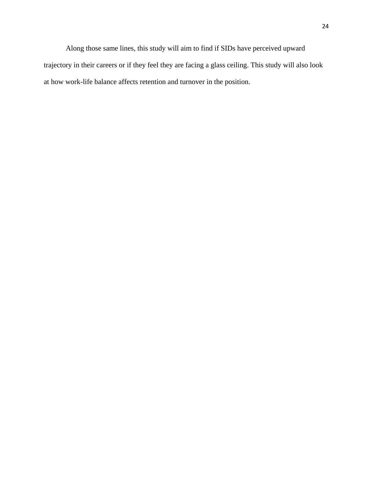Along those same lines, this study will aim to find if SIDs have perceived upward trajectory in their careers or if they feel they are facing a glass ceiling. This study will also look at how work-life balance affects retention and turnover in the position.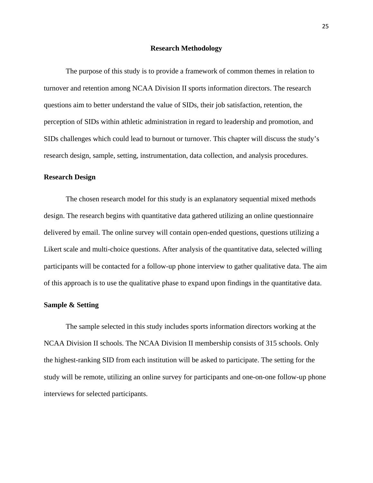#### **Research Methodology**

<span id="page-30-0"></span>The purpose of this study is to provide a framework of common themes in relation to turnover and retention among NCAA Division II sports information directors. The research questions aim to better understand the value of SIDs, their job satisfaction, retention, the perception of SIDs within athletic administration in regard to leadership and promotion, and SIDs challenges which could lead to burnout or turnover. This chapter will discuss the study's research design, sample, setting, instrumentation, data collection, and analysis procedures.

#### <span id="page-30-1"></span>**Research Design**

The chosen research model for this study is an explanatory sequential mixed methods design. The research begins with quantitative data gathered utilizing an online questionnaire delivered by email. The online survey will contain open-ended questions, questions utilizing a Likert scale and multi-choice questions. After analysis of the quantitative data, selected willing participants will be contacted for a follow-up phone interview to gather qualitative data. The aim of this approach is to use the qualitative phase to expand upon findings in the quantitative data.

#### <span id="page-30-2"></span>**Sample & Setting**

The sample selected in this study includes sports information directors working at the NCAA Division II schools. The NCAA Division II membership consists of 315 schools. Only the highest-ranking SID from each institution will be asked to participate. The setting for the study will be remote, utilizing an online survey for participants and one-on-one follow-up phone interviews for selected participants.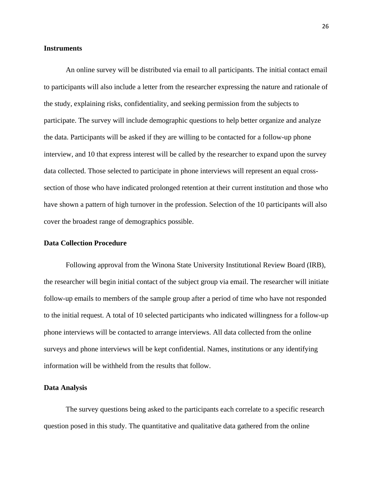#### <span id="page-31-0"></span>**Instruments**

An online survey will be distributed via email to all participants. The initial contact email to participants will also include a letter from the researcher expressing the nature and rationale of the study, explaining risks, confidentiality, and seeking permission from the subjects to participate. The survey will include demographic questions to help better organize and analyze the data. Participants will be asked if they are willing to be contacted for a follow-up phone interview, and 10 that express interest will be called by the researcher to expand upon the survey data collected. Those selected to participate in phone interviews will represent an equal crosssection of those who have indicated prolonged retention at their current institution and those who have shown a pattern of high turnover in the profession. Selection of the 10 participants will also cover the broadest range of demographics possible.

#### <span id="page-31-1"></span>**Data Collection Procedure**

Following approval from the Winona State University Institutional Review Board (IRB), the researcher will begin initial contact of the subject group via email. The researcher will initiate follow-up emails to members of the sample group after a period of time who have not responded to the initial request. A total of 10 selected participants who indicated willingness for a follow-up phone interviews will be contacted to arrange interviews. All data collected from the online surveys and phone interviews will be kept confidential. Names, institutions or any identifying information will be withheld from the results that follow.

#### <span id="page-31-2"></span>**Data Analysis**

The survey questions being asked to the participants each correlate to a specific research question posed in this study. The quantitative and qualitative data gathered from the online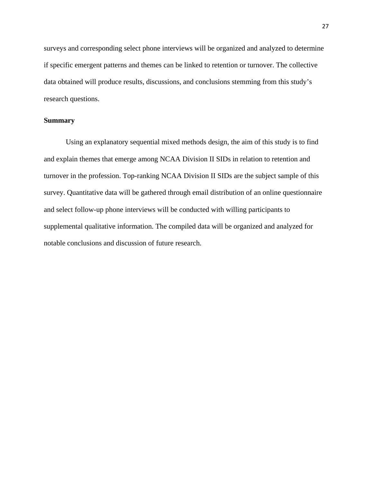surveys and corresponding select phone interviews will be organized and analyzed to determine if specific emergent patterns and themes can be linked to retention or turnover. The collective data obtained will produce results, discussions, and conclusions stemming from this study's research questions.

#### <span id="page-32-0"></span>**Summary**

Using an explanatory sequential mixed methods design, the aim of this study is to find and explain themes that emerge among NCAA Division II SIDs in relation to retention and turnover in the profession. Top-ranking NCAA Division II SIDs are the subject sample of this survey. Quantitative data will be gathered through email distribution of an online questionnaire and select follow-up phone interviews will be conducted with willing participants to supplemental qualitative information. The compiled data will be organized and analyzed for notable conclusions and discussion of future research.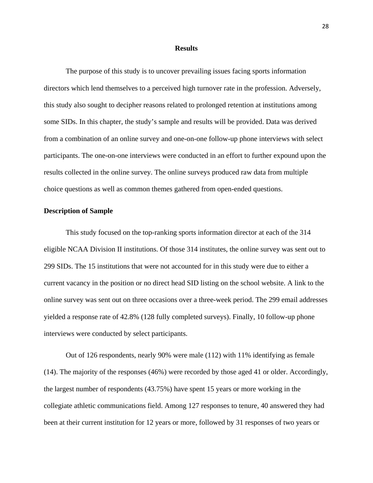#### **Results**

<span id="page-33-0"></span>The purpose of this study is to uncover prevailing issues facing sports information directors which lend themselves to a perceived high turnover rate in the profession. Adversely, this study also sought to decipher reasons related to prolonged retention at institutions among some SIDs. In this chapter, the study's sample and results will be provided. Data was derived from a combination of an online survey and one-on-one follow-up phone interviews with select participants. The one-on-one interviews were conducted in an effort to further expound upon the results collected in the online survey. The online surveys produced raw data from multiple choice questions as well as common themes gathered from open-ended questions.

#### <span id="page-33-1"></span>**Description of Sample**

This study focused on the top-ranking sports information director at each of the 314 eligible NCAA Division II institutions. Of those 314 institutes, the online survey was sent out to 299 SIDs. The 15 institutions that were not accounted for in this study were due to either a current vacancy in the position or no direct head SID listing on the school website. A link to the online survey was sent out on three occasions over a three-week period. The 299 email addresses yielded a response rate of 42.8% (128 fully completed surveys). Finally, 10 follow-up phone interviews were conducted by select participants.

Out of 126 respondents, nearly 90% were male (112) with 11% identifying as female (14). The majority of the responses (46%) were recorded by those aged 41 or older. Accordingly, the largest number of respondents (43.75%) have spent 15 years or more working in the collegiate athletic communications field. Among 127 responses to tenure, 40 answered they had been at their current institution for 12 years or more, followed by 31 responses of two years or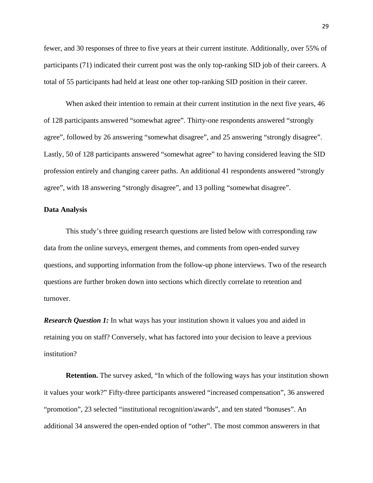fewer, and 30 responses of three to five years at their current institute. Additionally, over 55% of participants (71) indicated their current post was the only top-ranking SID job of their careers. A total of 55 participants had held at least one other top-ranking SID position in their career.

When asked their intention to remain at their current institution in the next five years, 46 of 128 participants answered "somewhat agree". Thirty-one respondents answered "strongly agree", followed by 26 answering "somewhat disagree", and 25 answering "strongly disagree". Lastly, 50 of 128 participants answered "somewhat agree" to having considered leaving the SID profession entirely and changing career paths. An additional 41 respondents answered "strongly agree", with 18 answering "strongly disagree", and 13 polling "somewhat disagree".

#### <span id="page-34-0"></span>**Data Analysis**

This study's three guiding research questions are listed below with corresponding raw data from the online surveys, emergent themes, and comments from open-ended survey questions, and supporting information from the follow-up phone interviews. Two of the research questions are further broken down into sections which directly correlate to retention and turnover.

<span id="page-34-1"></span>*Research Question 1:* In what ways has your institution shown it values you and aided in retaining you on staff? Conversely, what has factored into your decision to leave a previous institution?

**Retention.** The survey asked, "In which of the following ways has your institution shown it values your work?" Fifty-three participants answered "increased compensation", 36 answered "promotion", 23 selected "institutional recognition/awards", and ten stated "bonuses". An additional 34 answered the open-ended option of "other". The most common answerers in that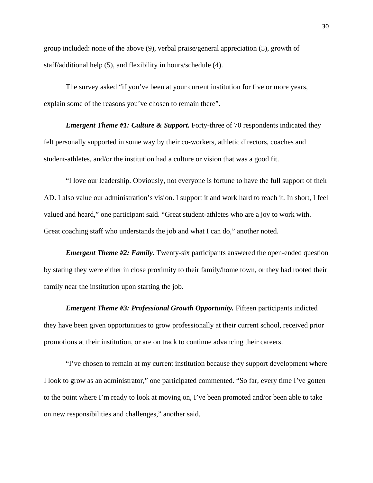group included: none of the above (9), verbal praise/general appreciation (5), growth of staff/additional help (5), and flexibility in hours/schedule (4).

The survey asked "if you've been at your current institution for five or more years, explain some of the reasons you've chosen to remain there".

*Emergent Theme #1: Culture & Support.* Forty-three of 70 respondents indicated they felt personally supported in some way by their co-workers, athletic directors, coaches and student-athletes, and/or the institution had a culture or vision that was a good fit.

"I love our leadership. Obviously, not everyone is fortune to have the full support of their AD. I also value our administration's vision. I support it and work hard to reach it. In short, I feel valued and heard," one participant said. "Great student-athletes who are a joy to work with. Great coaching staff who understands the job and what I can do," another noted.

*Emergent Theme #2: Family.* Twenty-six participants answered the open-ended question by stating they were either in close proximity to their family/home town, or they had rooted their family near the institution upon starting the job.

*Emergent Theme #3: Professional Growth Opportunity.* Fifteen participants indicted they have been given opportunities to grow professionally at their current school, received prior promotions at their institution, or are on track to continue advancing their careers.

"I've chosen to remain at my current institution because they support development where I look to grow as an administrator," one participated commented. "So far, every time I've gotten to the point where I'm ready to look at moving on, I've been promoted and/or been able to take on new responsibilities and challenges," another said.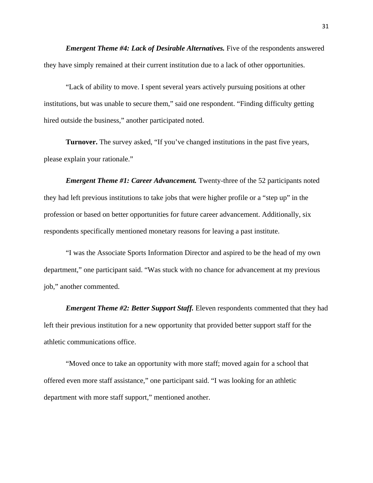*Emergent Theme #4: Lack of Desirable Alternatives.* Five of the respondents answered they have simply remained at their current institution due to a lack of other opportunities.

"Lack of ability to move. I spent several years actively pursuing positions at other institutions, but was unable to secure them," said one respondent. "Finding difficulty getting hired outside the business," another participated noted.

**Turnover.** The survey asked, "If you've changed institutions in the past five years, please explain your rationale."

*Emergent Theme #1: Career Advancement.* Twenty-three of the 52 participants noted they had left previous institutions to take jobs that were higher profile or a "step up" in the profession or based on better opportunities for future career advancement. Additionally, six respondents specifically mentioned monetary reasons for leaving a past institute.

"I was the Associate Sports Information Director and aspired to be the head of my own department," one participant said. "Was stuck with no chance for advancement at my previous job," another commented.

*Emergent Theme #2: Better Support Staff.* Eleven respondents commented that they had left their previous institution for a new opportunity that provided better support staff for the athletic communications office.

"Moved once to take an opportunity with more staff; moved again for a school that offered even more staff assistance," one participant said. "I was looking for an athletic department with more staff support," mentioned another.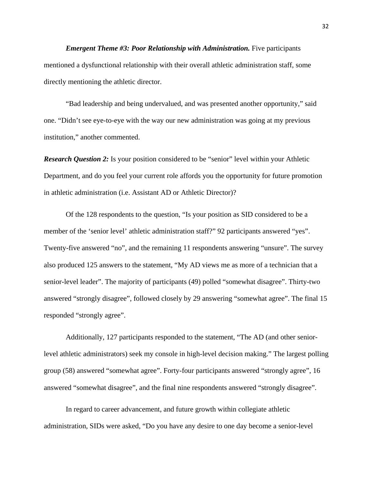*Emergent Theme #3: Poor Relationship with Administration.* Five participants mentioned a dysfunctional relationship with their overall athletic administration staff, some directly mentioning the athletic director.

"Bad leadership and being undervalued, and was presented another opportunity," said one. "Didn't see eye-to-eye with the way our new administration was going at my previous institution," another commented.

<span id="page-37-0"></span>*Research Question 2:* Is your position considered to be "senior" level within your Athletic Department, and do you feel your current role affords you the opportunity for future promotion in athletic administration (i.e. Assistant AD or Athletic Director)?

Of the 128 respondents to the question, "Is your position as SID considered to be a member of the 'senior level' athletic administration staff?" 92 participants answered "yes". Twenty-five answered "no", and the remaining 11 respondents answering "unsure". The survey also produced 125 answers to the statement, "My AD views me as more of a technician that a senior-level leader". The majority of participants (49) polled "somewhat disagree". Thirty-two answered "strongly disagree", followed closely by 29 answering "somewhat agree". The final 15 responded "strongly agree".

Additionally, 127 participants responded to the statement, "The AD (and other seniorlevel athletic administrators) seek my console in high-level decision making." The largest polling group (58) answered "somewhat agree". Forty-four participants answered "strongly agree", 16 answered "somewhat disagree", and the final nine respondents answered "strongly disagree".

In regard to career advancement, and future growth within collegiate athletic administration, SIDs were asked, "Do you have any desire to one day become a senior-level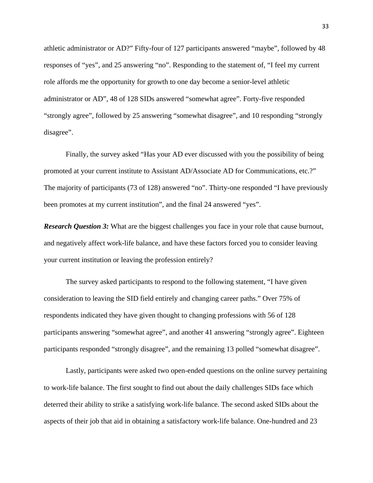athletic administrator or AD?" Fifty-four of 127 participants answered "maybe", followed by 48 responses of "yes", and 25 answering "no". Responding to the statement of, "I feel my current role affords me the opportunity for growth to one day become a senior-level athletic administrator or AD", 48 of 128 SIDs answered "somewhat agree". Forty-five responded "strongly agree", followed by 25 answering "somewhat disagree", and 10 responding "strongly disagree".

Finally, the survey asked "Has your AD ever discussed with you the possibility of being promoted at your current institute to Assistant AD/Associate AD for Communications, etc.?" The majority of participants (73 of 128) answered "no". Thirty-one responded "I have previously been promotes at my current institution", and the final 24 answered "yes".

<span id="page-38-0"></span>*Research Question 3:* What are the biggest challenges you face in your role that cause burnout, and negatively affect work-life balance, and have these factors forced you to consider leaving your current institution or leaving the profession entirely?

The survey asked participants to respond to the following statement, "I have given consideration to leaving the SID field entirely and changing career paths." Over 75% of respondents indicated they have given thought to changing professions with 56 of 128 participants answering "somewhat agree", and another 41 answering "strongly agree". Eighteen participants responded "strongly disagree", and the remaining 13 polled "somewhat disagree".

Lastly, participants were asked two open-ended questions on the online survey pertaining to work-life balance. The first sought to find out about the daily challenges SIDs face which deterred their ability to strike a satisfying work-life balance. The second asked SIDs about the aspects of their job that aid in obtaining a satisfactory work-life balance. One-hundred and 23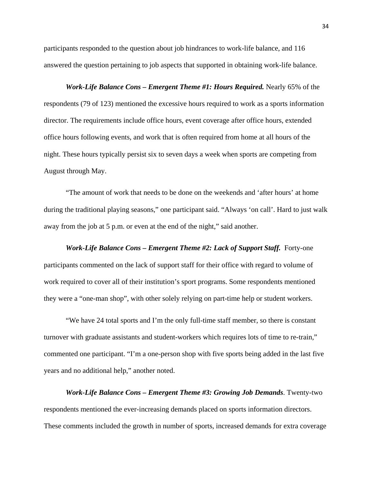participants responded to the question about job hindrances to work-life balance, and 116 answered the question pertaining to job aspects that supported in obtaining work-life balance.

*Work-Life Balance Cons – Emergent Theme #1: Hours Required.* Nearly 65% of the respondents (79 of 123) mentioned the excessive hours required to work as a sports information director. The requirements include office hours, event coverage after office hours, extended office hours following events, and work that is often required from home at all hours of the night. These hours typically persist six to seven days a week when sports are competing from August through May.

"The amount of work that needs to be done on the weekends and 'after hours' at home during the traditional playing seasons," one participant said. "Always 'on call'. Hard to just walk away from the job at 5 p.m. or even at the end of the night," said another.

*Work-Life Balance Cons – Emergent Theme #2: Lack of Support Staff.* Forty-one participants commented on the lack of support staff for their office with regard to volume of work required to cover all of their institution's sport programs. Some respondents mentioned they were a "one-man shop", with other solely relying on part-time help or student workers.

"We have 24 total sports and I'm the only full-time staff member, so there is constant turnover with graduate assistants and student-workers which requires lots of time to re-train," commented one participant. "I'm a one-person shop with five sports being added in the last five years and no additional help," another noted.

*Work-Life Balance Cons – Emergent Theme #3: Growing Job Demands*. Twenty-two respondents mentioned the ever-increasing demands placed on sports information directors. These comments included the growth in number of sports, increased demands for extra coverage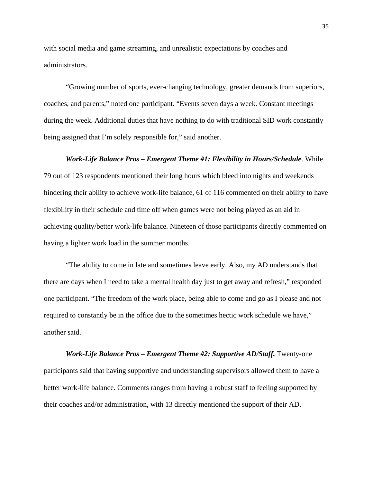with social media and game streaming, and unrealistic expectations by coaches and administrators.

"Growing number of sports, ever-changing technology, greater demands from superiors, coaches, and parents," noted one participant. "Events seven days a week. Constant meetings during the week. Additional duties that have nothing to do with traditional SID work constantly being assigned that I'm solely responsible for," said another.

# *Work-Life Balance Pros – Emergent Theme #1: Flexibility in Hours/Schedule*. While 79 out of 123 respondents mentioned their long hours which bleed into nights and weekends hindering their ability to achieve work-life balance, 61 of 116 commented on their ability to have flexibility in their schedule and time off when games were not being played as an aid in achieving quality/better work-life balance. Nineteen of those participants directly commented on having a lighter work load in the summer months.

"The ability to come in late and sometimes leave early. Also, my AD understands that there are days when I need to take a mental health day just to get away and refresh," responded one participant. "The freedom of the work place, being able to come and go as I please and not required to constantly be in the office due to the sometimes hectic work schedule we have," another said.

*Work-Life Balance Pros – Emergent Theme #2: Supportive AD/Staff.* Twenty-one participants said that having supportive and understanding supervisors allowed them to have a better work-life balance. Comments ranges from having a robust staff to feeling supported by their coaches and/or administration, with 13 directly mentioned the support of their AD.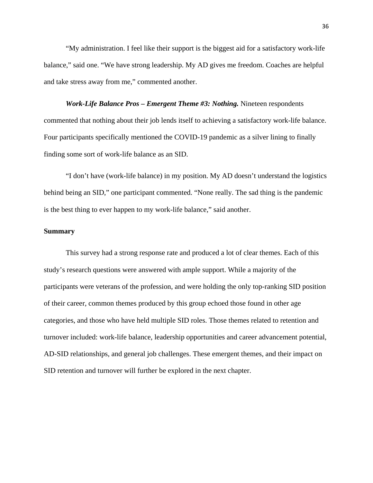"My administration. I feel like their support is the biggest aid for a satisfactory work-life balance," said one. "We have strong leadership. My AD gives me freedom. Coaches are helpful and take stress away from me," commented another.

*Work-Life Balance Pros – Emergent Theme #3: Nothing.* Nineteen respondents commented that nothing about their job lends itself to achieving a satisfactory work-life balance. Four participants specifically mentioned the COVID-19 pandemic as a silver lining to finally finding some sort of work-life balance as an SID.

"I don't have (work-life balance) in my position. My AD doesn't understand the logistics behind being an SID," one participant commented. "None really. The sad thing is the pandemic is the best thing to ever happen to my work-life balance," said another.

#### <span id="page-41-0"></span>**Summary**

This survey had a strong response rate and produced a lot of clear themes. Each of this study's research questions were answered with ample support. While a majority of the participants were veterans of the profession, and were holding the only top-ranking SID position of their career, common themes produced by this group echoed those found in other age categories, and those who have held multiple SID roles. Those themes related to retention and turnover included: work-life balance, leadership opportunities and career advancement potential, AD-SID relationships, and general job challenges. These emergent themes, and their impact on SID retention and turnover will further be explored in the next chapter.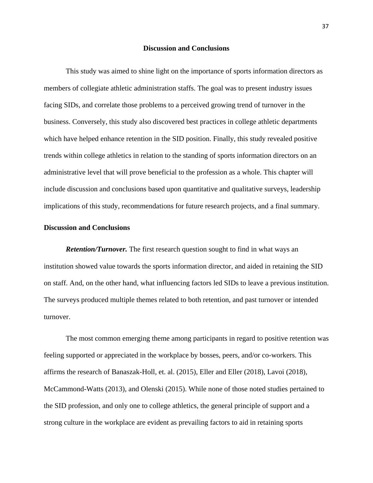#### **Discussion and Conclusions**

<span id="page-42-0"></span>This study was aimed to shine light on the importance of sports information directors as members of collegiate athletic administration staffs. The goal was to present industry issues facing SIDs, and correlate those problems to a perceived growing trend of turnover in the business. Conversely, this study also discovered best practices in college athletic departments which have helped enhance retention in the SID position. Finally, this study revealed positive trends within college athletics in relation to the standing of sports information directors on an administrative level that will prove beneficial to the profession as a whole. This chapter will include discussion and conclusions based upon quantitative and qualitative surveys, leadership implications of this study, recommendations for future research projects, and a final summary.

#### <span id="page-42-1"></span>**Discussion and Conclusions**

<span id="page-42-2"></span>*Retention/Turnover.* The first research question sought to find in what ways an institution showed value towards the sports information director, and aided in retaining the SID on staff. And, on the other hand, what influencing factors led SIDs to leave a previous institution. The surveys produced multiple themes related to both retention, and past turnover or intended turnover.

The most common emerging theme among participants in regard to positive retention was feeling supported or appreciated in the workplace by bosses, peers, and/or co-workers. This affirms the research of Banaszak-Holl, et. al. (2015), Eller and Eller (2018), Lavoi (2018), McCammond-Watts (2013), and Olenski (2015). While none of those noted studies pertained to the SID profession, and only one to college athletics, the general principle of support and a strong culture in the workplace are evident as prevailing factors to aid in retaining sports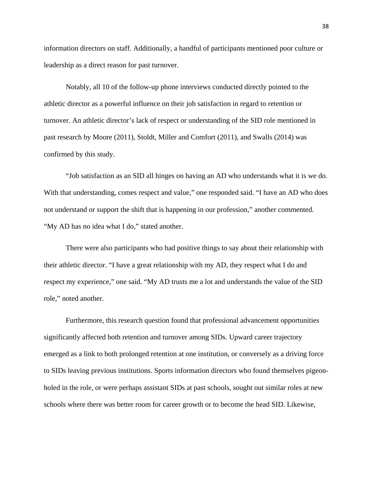information directors on staff. Additionally, a handful of participants mentioned poor culture or leadership as a direct reason for past turnover.

Notably, all 10 of the follow-up phone interviews conducted directly pointed to the athletic director as a powerful influence on their job satisfaction in regard to retention or turnover. An athletic director's lack of respect or understanding of the SID role mentioned in past research by Moore (2011), Stoldt, Miller and Comfort (2011), and Swalls (2014) was confirmed by this study.

"Job satisfaction as an SID all hinges on having an AD who understands what it is we do. With that understanding, comes respect and value," one responded said. "I have an AD who does not understand or support the shift that is happening in our profession," another commented. "My AD has no idea what I do," stated another.

There were also participants who had positive things to say about their relationship with their athletic director. "I have a great relationship with my AD, they respect what I do and respect my experience," one said. "My AD trusts me a lot and understands the value of the SID role," noted another.

Furthermore, this research question found that professional advancement opportunities significantly affected both retention and turnover among SIDs. Upward career trajectory emerged as a link to both prolonged retention at one institution, or conversely as a driving force to SIDs leaving previous institutions. Sports information directors who found themselves pigeonholed in the role, or were perhaps assistant SIDs at past schools, sought out similar roles at new schools where there was better room for career growth or to become the head SID. Likewise,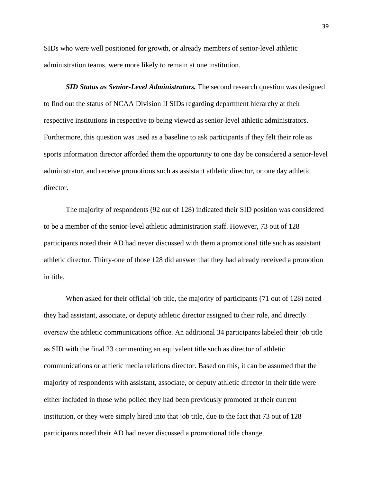SIDs who were well positioned for growth, or already members of senior-level athletic administration teams, were more likely to remain at one institution.

<span id="page-44-0"></span>**SID Status as Senior-Level Administrators.** The second research question was designed to find out the status of NCAA Division II SIDs regarding department hierarchy at their respective institutions in respective to being viewed as senior-level athletic administrators. Furthermore, this question was used as a baseline to ask participants if they felt their role as sports information director afforded them the opportunity to one day be considered a senior-level administrator, and receive promotions such as assistant athletic director, or one day athletic director.

The majority of respondents (92 out of 128) indicated their SID position was considered to be a member of the senior-level athletic administration staff. However, 73 out of 128 participants noted their AD had never discussed with them a promotional title such as assistant athletic director. Thirty-one of those 128 did answer that they had already received a promotion in title.

When asked for their official job title, the majority of participants (71 out of 128) noted they had assistant, associate, or deputy athletic director assigned to their role, and directly oversaw the athletic communications office. An additional 34 participants labeled their job title as SID with the final 23 commenting an equivalent title such as director of athletic communications or athletic media relations director. Based on this, it can be assumed that the majority of respondents with assistant, associate, or deputy athletic director in their title were either included in those who polled they had been previously promoted at their current institution, or they were simply hired into that job title, due to the fact that 73 out of 128 participants noted their AD had never discussed a promotional title change.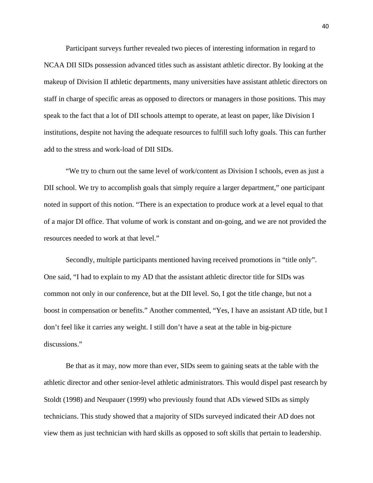Participant surveys further revealed two pieces of interesting information in regard to NCAA DII SIDs possession advanced titles such as assistant athletic director. By looking at the makeup of Division II athletic departments, many universities have assistant athletic directors on staff in charge of specific areas as opposed to directors or managers in those positions. This may speak to the fact that a lot of DII schools attempt to operate, at least on paper, like Division I institutions, despite not having the adequate resources to fulfill such lofty goals. This can further add to the stress and work-load of DII SIDs.

"We try to churn out the same level of work/content as Division I schools, even as just a DII school. We try to accomplish goals that simply require a larger department," one participant noted in support of this notion. "There is an expectation to produce work at a level equal to that of a major DI office. That volume of work is constant and on-going, and we are not provided the resources needed to work at that level."

Secondly, multiple participants mentioned having received promotions in "title only". One said, "I had to explain to my AD that the assistant athletic director title for SIDs was common not only in our conference, but at the DII level. So, I got the title change, but not a boost in compensation or benefits." Another commented, "Yes, I have an assistant AD title, but I don't feel like it carries any weight. I still don't have a seat at the table in big-picture discussions."

Be that as it may, now more than ever, SIDs seem to gaining seats at the table with the athletic director and other senior-level athletic administrators. This would dispel past research by Stoldt (1998) and Neupauer (1999) who previously found that ADs viewed SIDs as simply technicians. This study showed that a majority of SIDs surveyed indicated their AD does not view them as just technician with hard skills as opposed to soft skills that pertain to leadership.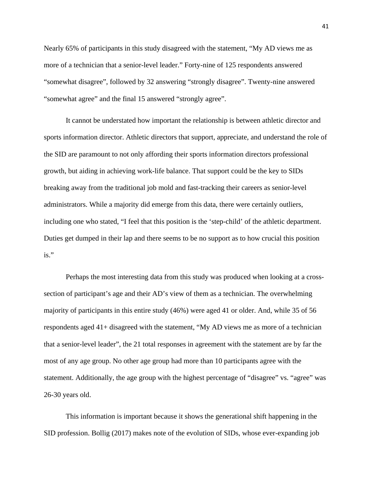Nearly 65% of participants in this study disagreed with the statement, "My AD views me as more of a technician that a senior-level leader." Forty-nine of 125 respondents answered "somewhat disagree", followed by 32 answering "strongly disagree". Twenty-nine answered "somewhat agree" and the final 15 answered "strongly agree".

It cannot be understated how important the relationship is between athletic director and sports information director. Athletic directors that support, appreciate, and understand the role of the SID are paramount to not only affording their sports information directors professional growth, but aiding in achieving work-life balance. That support could be the key to SIDs breaking away from the traditional job mold and fast-tracking their careers as senior-level administrators. While a majority did emerge from this data, there were certainly outliers, including one who stated, "I feel that this position is the 'step-child' of the athletic department. Duties get dumped in their lap and there seems to be no support as to how crucial this position is."

Perhaps the most interesting data from this study was produced when looking at a crosssection of participant's age and their AD's view of them as a technician. The overwhelming majority of participants in this entire study (46%) were aged 41 or older. And, while 35 of 56 respondents aged 41+ disagreed with the statement, "My AD views me as more of a technician that a senior-level leader", the 21 total responses in agreement with the statement are by far the most of any age group. No other age group had more than 10 participants agree with the statement. Additionally, the age group with the highest percentage of "disagree" vs. "agree" was 26-30 years old.

This information is important because it shows the generational shift happening in the SID profession. Bollig (2017) makes note of the evolution of SIDs, whose ever-expanding job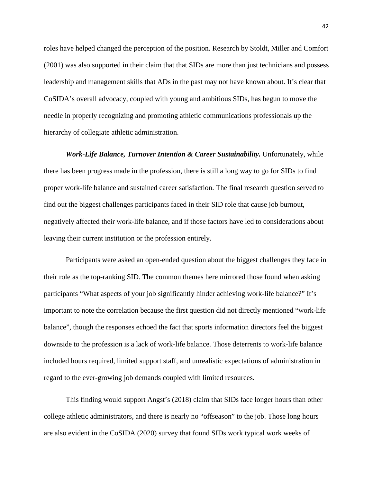roles have helped changed the perception of the position. Research by Stoldt, Miller and Comfort (2001) was also supported in their claim that that SIDs are more than just technicians and possess leadership and management skills that ADs in the past may not have known about. It's clear that CoSIDA's overall advocacy, coupled with young and ambitious SIDs, has begun to move the needle in properly recognizing and promoting athletic communications professionals up the hierarchy of collegiate athletic administration.

<span id="page-47-0"></span>*Work-Life Balance, Turnover Intention & Career Sustainability.* Unfortunately, while there has been progress made in the profession, there is still a long way to go for SIDs to find proper work-life balance and sustained career satisfaction. The final research question served to find out the biggest challenges participants faced in their SID role that cause job burnout, negatively affected their work-life balance, and if those factors have led to considerations about leaving their current institution or the profession entirely.

Participants were asked an open-ended question about the biggest challenges they face in their role as the top-ranking SID. The common themes here mirrored those found when asking participants "What aspects of your job significantly hinder achieving work-life balance?" It's important to note the correlation because the first question did not directly mentioned "work-life balance", though the responses echoed the fact that sports information directors feel the biggest downside to the profession is a lack of work-life balance. Those deterrents to work-life balance included hours required, limited support staff, and unrealistic expectations of administration in regard to the ever-growing job demands coupled with limited resources.

This finding would support Angst's (2018) claim that SIDs face longer hours than other college athletic administrators, and there is nearly no "offseason" to the job. Those long hours are also evident in the CoSIDA (2020) survey that found SIDs work typical work weeks of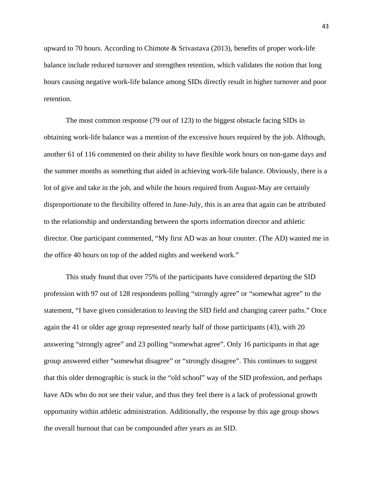upward to 70 hours. According to Chimote & Srivastava (2013), benefits of proper work-life balance include reduced turnover and strengthen retention, which validates the notion that long hours causing negative work-life balance among SIDs directly result in higher turnover and poor retention.

The most common response (79 out of 123) to the biggest obstacle facing SIDs in obtaining work-life balance was a mention of the excessive hours required by the job. Although, another 61 of 116 commented on their ability to have flexible work hours on non-game days and the summer months as something that aided in achieving work-life balance. Obviously, there is a lot of give and take in the job, and while the hours required from August-May are certainly disproportionate to the flexibility offered in June-July, this is an area that again can be attributed to the relationship and understanding between the sports information director and athletic director. One participant commented, "My first AD was an hour counter. (The AD) wanted me in the office 40 hours on top of the added nights and weekend work."

This study found that over 75% of the participants have considered departing the SID profession with 97 out of 128 respondents polling "strongly agree" or "somewhat agree" to the statement, "I have given consideration to leaving the SID field and changing career paths." Once again the 41 or older age group represented nearly half of those participants (43), with 20 answering "strongly agree" and 23 polling "somewhat agree". Only 16 participants in that age group answered either "somewhat disagree" or "strongly disagree". This continues to suggest that this older demographic is stuck in the "old school" way of the SID profession, and perhaps have ADs who do not see their value, and thus they feel there is a lack of professional growth opportunity within athletic administration. Additionally, the response by this age group shows the overall burnout that can be compounded after years as an SID.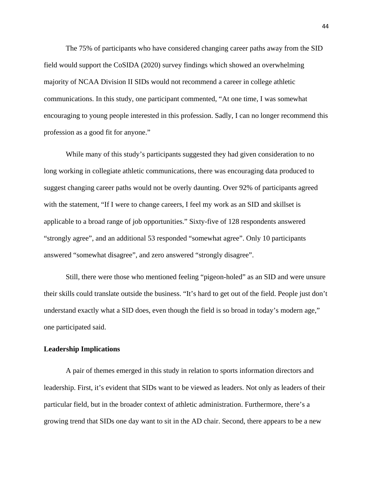The 75% of participants who have considered changing career paths away from the SID field would support the CoSIDA (2020) survey findings which showed an overwhelming majority of NCAA Division II SIDs would not recommend a career in college athletic communications. In this study, one participant commented, "At one time, I was somewhat encouraging to young people interested in this profession. Sadly, I can no longer recommend this profession as a good fit for anyone."

While many of this study's participants suggested they had given consideration to no long working in collegiate athletic communications, there was encouraging data produced to suggest changing career paths would not be overly daunting. Over 92% of participants agreed with the statement, "If I were to change careers, I feel my work as an SID and skillset is applicable to a broad range of job opportunities." Sixty-five of 128 respondents answered "strongly agree", and an additional 53 responded "somewhat agree". Only 10 participants answered "somewhat disagree", and zero answered "strongly disagree".

Still, there were those who mentioned feeling "pigeon-holed" as an SID and were unsure their skills could translate outside the business. "It's hard to get out of the field. People just don't understand exactly what a SID does, even though the field is so broad in today's modern age," one participated said.

#### <span id="page-49-0"></span>**Leadership Implications**

A pair of themes emerged in this study in relation to sports information directors and leadership. First, it's evident that SIDs want to be viewed as leaders. Not only as leaders of their particular field, but in the broader context of athletic administration. Furthermore, there's a growing trend that SIDs one day want to sit in the AD chair. Second, there appears to be a new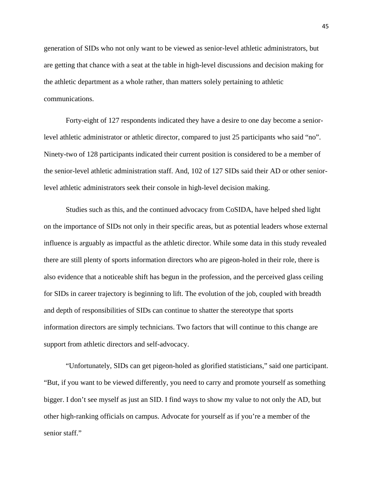generation of SIDs who not only want to be viewed as senior-level athletic administrators, but are getting that chance with a seat at the table in high-level discussions and decision making for the athletic department as a whole rather, than matters solely pertaining to athletic communications.

Forty-eight of 127 respondents indicated they have a desire to one day become a seniorlevel athletic administrator or athletic director, compared to just 25 participants who said "no". Ninety-two of 128 participants indicated their current position is considered to be a member of the senior-level athletic administration staff. And, 102 of 127 SIDs said their AD or other seniorlevel athletic administrators seek their console in high-level decision making.

Studies such as this, and the continued advocacy from CoSIDA, have helped shed light on the importance of SIDs not only in their specific areas, but as potential leaders whose external influence is arguably as impactful as the athletic director. While some data in this study revealed there are still plenty of sports information directors who are pigeon-holed in their role, there is also evidence that a noticeable shift has begun in the profession, and the perceived glass ceiling for SIDs in career trajectory is beginning to lift. The evolution of the job, coupled with breadth and depth of responsibilities of SIDs can continue to shatter the stereotype that sports information directors are simply technicians. Two factors that will continue to this change are support from athletic directors and self-advocacy.

"Unfortunately, SIDs can get pigeon-holed as glorified statisticians," said one participant. "But, if you want to be viewed differently, you need to carry and promote yourself as something bigger. I don't see myself as just an SID. I find ways to show my value to not only the AD, but other high-ranking officials on campus. Advocate for yourself as if you're a member of the senior staff."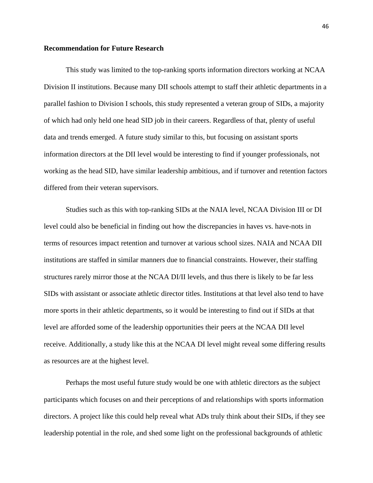#### <span id="page-51-0"></span>**Recommendation for Future Research**

This study was limited to the top-ranking sports information directors working at NCAA Division II institutions. Because many DII schools attempt to staff their athletic departments in a parallel fashion to Division I schools, this study represented a veteran group of SIDs, a majority of which had only held one head SID job in their careers. Regardless of that, plenty of useful data and trends emerged. A future study similar to this, but focusing on assistant sports information directors at the DII level would be interesting to find if younger professionals, not working as the head SID, have similar leadership ambitious, and if turnover and retention factors differed from their veteran supervisors.

Studies such as this with top-ranking SIDs at the NAIA level, NCAA Division III or DI level could also be beneficial in finding out how the discrepancies in haves vs. have-nots in terms of resources impact retention and turnover at various school sizes. NAIA and NCAA DII institutions are staffed in similar manners due to financial constraints. However, their staffing structures rarely mirror those at the NCAA DI/II levels, and thus there is likely to be far less SIDs with assistant or associate athletic director titles. Institutions at that level also tend to have more sports in their athletic departments, so it would be interesting to find out if SIDs at that level are afforded some of the leadership opportunities their peers at the NCAA DII level receive. Additionally, a study like this at the NCAA DI level might reveal some differing results as resources are at the highest level.

Perhaps the most useful future study would be one with athletic directors as the subject participants which focuses on and their perceptions of and relationships with sports information directors. A project like this could help reveal what ADs truly think about their SIDs, if they see leadership potential in the role, and shed some light on the professional backgrounds of athletic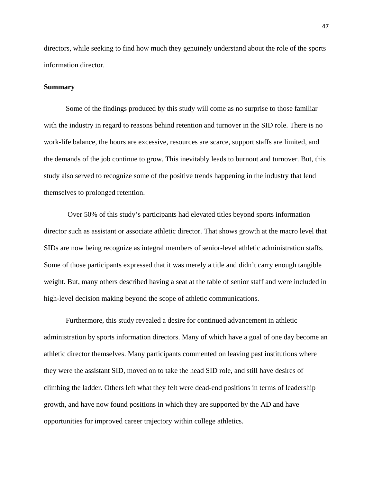directors, while seeking to find how much they genuinely understand about the role of the sports information director.

#### <span id="page-52-0"></span>**Summary**

Some of the findings produced by this study will come as no surprise to those familiar with the industry in regard to reasons behind retention and turnover in the SID role. There is no work-life balance, the hours are excessive, resources are scarce, support staffs are limited, and the demands of the job continue to grow. This inevitably leads to burnout and turnover. But, this study also served to recognize some of the positive trends happening in the industry that lend themselves to prolonged retention.

Over 50% of this study's participants had elevated titles beyond sports information director such as assistant or associate athletic director. That shows growth at the macro level that SIDs are now being recognize as integral members of senior-level athletic administration staffs. Some of those participants expressed that it was merely a title and didn't carry enough tangible weight. But, many others described having a seat at the table of senior staff and were included in high-level decision making beyond the scope of athletic communications.

Furthermore, this study revealed a desire for continued advancement in athletic administration by sports information directors. Many of which have a goal of one day become an athletic director themselves. Many participants commented on leaving past institutions where they were the assistant SID, moved on to take the head SID role, and still have desires of climbing the ladder. Others left what they felt were dead-end positions in terms of leadership growth, and have now found positions in which they are supported by the AD and have opportunities for improved career trajectory within college athletics.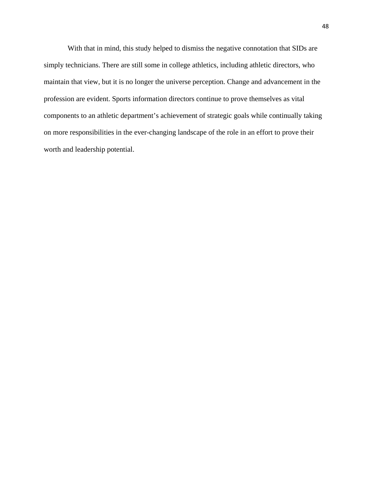With that in mind, this study helped to dismiss the negative connotation that SIDs are simply technicians. There are still some in college athletics, including athletic directors, who maintain that view, but it is no longer the universe perception. Change and advancement in the profession are evident. Sports information directors continue to prove themselves as vital components to an athletic department's achievement of strategic goals while continually taking on more responsibilities in the ever-changing landscape of the role in an effort to prove their worth and leadership potential.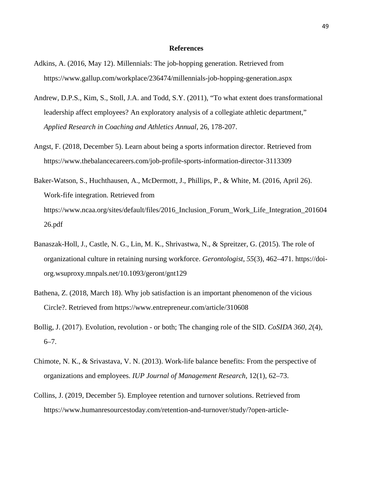#### **References**

- <span id="page-54-0"></span>Adkins, A. (2016, May 12). Millennials: The job-hopping generation. Retrieved from https://www.gallup.com/workplace/236474/millennials-job-hopping-generation.aspx
- Andrew, D.P.S., Kim, S., Stoll, J.A. and Todd, S.Y. (2011), "To what extent does transformational leadership affect employees? An exploratory analysis of a collegiate athletic department," *Applied Research in Coaching and Athletics Annual*, 26, 178-207.
- Angst, F. (2018, December 5). Learn about being a sports information director. Retrieved from https://www.thebalancecareers.com/job-profile-sports-information-director-3113309
- Baker-Watson, S., Huchthausen, A., McDermott, J., Phillips, P., & White, M. (2016, April 26). Work-fife integration. Retrieved from https://www.ncaa.org/sites/default/files/2016\_Inclusion\_Forum\_Work\_Life\_Integration\_201604 26.pdf
- Banaszak-Holl, J., Castle, N. G., Lin, M. K., Shrivastwa, N., & Spreitzer, G. (2015). The role of organizational culture in retaining nursing workforce. *Gerontologist*, *55*(3), 462–471. https://doiorg.wsuproxy.mnpals.net/10.1093/geront/gnt129
- Bathena, Z. (2018, March 18). Why job satisfaction is an important phenomenon of the vicious Circle?. Retrieved from https://www.entrepreneur.com/article/310608
- Bollig, J. (2017). Evolution, revolution or both; The changing role of the SID. *CoSIDA 360*, *2*(4), 6–7.
- Chimote, N. K., & Srivastava, V. N. (2013). Work-life balance benefits: From the perspective of organizations and employees. *IUP Journal of Management Research*, 12(1), 62–73.
- Collins, J. (2019, December 5). Employee retention and turnover solutions. Retrieved from https://www.humanresourcestoday.com/retention-and-turnover/study/?open-article-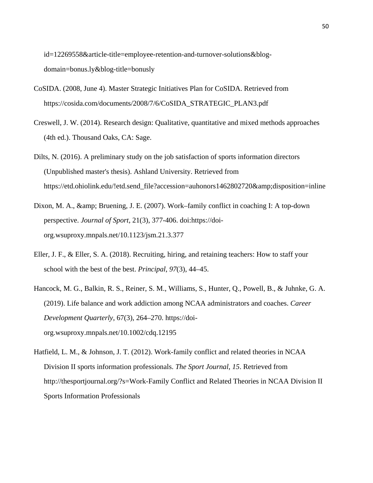id=12269558&article-title=employee-retention-and-turnover-solutions&blogdomain=bonus.ly&blog-title=bonusly

- CoSIDA. (2008, June 4). Master Strategic Initiatives Plan for CoSIDA. Retrieved from https://cosida.com/documents/2008/7/6/CoSIDA\_STRATEGIC\_PLAN3.pdf
- Creswell, J. W. (2014). Research design: Qualitative, quantitative and mixed methods approaches (4th ed.). Thousand Oaks, CA: Sage.
- Dilts, N. (2016). A preliminary study on the job satisfaction of sports information directors (Unpublished master's thesis). Ashland University. Retrieved from https://etd.ohiolink.edu/!etd.send\_file?accession=auhonors1462802720&disposition=inline
- Dixon, M. A., & amp; Bruening, J. E. (2007). Work–family conflict in coaching I: A top-down perspective. *Journal of Sport*, 21(3), 377-406. doi:https://doiorg.wsuproxy.mnpals.net/10.1123/jsm.21.3.377
- Eller, J. F., & Eller, S. A. (2018). Recruiting, hiring, and retaining teachers: How to staff your school with the best of the best. *Principal*, *97*(3), 44–45.
- Hancock, M. G., Balkin, R. S., Reiner, S. M., Williams, S., Hunter, Q., Powell, B., & Juhnke, G. A. (2019). Life balance and work addiction among NCAA administrators and coaches. *Career Development Quarterly*, 67(3), 264–270. https://doiorg.wsuproxy.mnpals.net/10.1002/cdq.12195
- Hatfield, L. M., & Johnson, J. T. (2012). Work-family conflict and related theories in NCAA Division II sports information professionals. *The Sport Journal*, *15*. Retrieved from http://thesportjournal.org/?s=Work-Family Conflict and Related Theories in NCAA Division II Sports Information Professionals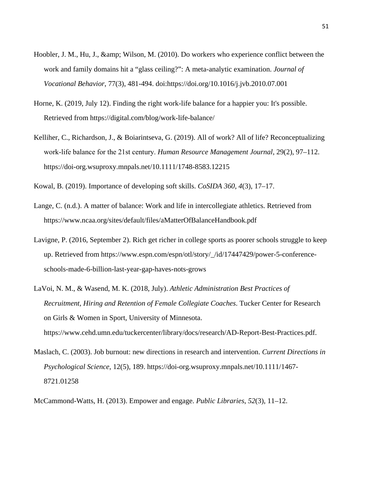- Hoobler, J. M., Hu, J., & amp; Wilson, M. (2010). Do workers who experience conflict between the work and family domains hit a "glass ceiling?": A meta-analytic examination. *Journal of Vocational Behavior*, 77(3), 481-494. doi:https://doi.org/10.1016/j.jvb.2010.07.001
- Horne, K. (2019, July 12). Finding the right work-life balance for a happier you: It's possible. Retrieved from https://digital.com/blog/work-life-balance/
- Kelliher, C., Richardson, J., & Boiarintseva, G. (2019). All of work? All of life? Reconceptualizing work‐life balance for the 21st century. *Human Resource Management Journal*, 29(2), 97–112. https://doi-org.wsuproxy.mnpals.net/10.1111/1748-8583.12215
- Kowal, B. (2019). Importance of developing soft skills. *CoSIDA 360*, *4*(3), 17–17.
- Lange, C. (n.d.). A matter of balance: Work and life in intercollegiate athletics. Retrieved from https://www.ncaa.org/sites/default/files/aMatterOfBalanceHandbook.pdf
- Lavigne, P. (2016, September 2). Rich get richer in college sports as poorer schools struggle to keep up. Retrieved from https://www.espn.com/espn/otl/story/\_/id/17447429/power-5-conferenceschools-made-6-billion-last-year-gap-haves-nots-grows
- LaVoi, N. M., & Wasend, M. K. (2018, July). *Athletic Administration Best Practices of Recruitment, Hiring and Retention of Female Collegiate Coaches*. Tucker Center for Research on Girls & Women in Sport, University of Minnesota. https://www.cehd.umn.edu/tuckercenter/library/docs/research/AD-Report-Best-Practices.pdf.
- Maslach, C. (2003). Job burnout: new directions in research and intervention. *Current Directions in Psychological Science*, 12(5), 189. https://doi-org.wsuproxy.mnpals.net/10.1111/1467- 8721.01258
- McCammond-Watts, H. (2013). Empower and engage. *Public Libraries*, *52*(3), 11–12.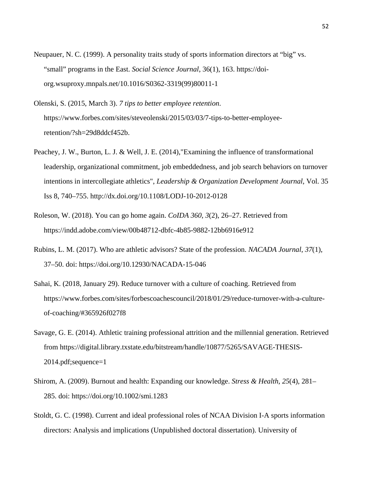- Neupauer, N. C. (1999). A personality traits study of sports information directors at "big" vs. "small" programs in the East. *Social Science Journal*, 36(1), 163. https://doiorg.wsuproxy.mnpals.net/10.1016/S0362-3319(99)80011-1
- Olenski, S. (2015, March 3). *7 tips to better employee retention*. https://www.forbes.com/sites/steveolenski/2015/03/03/7-tips-to-better-employeeretention/?sh=29d8ddcf452b.
- Peachey, J. W., Burton, L. J. & Well, J. E. (2014),"Examining the influence of transformational leadership, organizational commitment, job embeddedness, and job search behaviors on turnover intentions in intercollegiate athletics", *Leadership & Organization Development Journal*, Vol. 35 Iss 8, 740–755. http://dx.doi.org/10.1108/LODJ-10-2012-0128
- Roleson, W. (2018). You can go home again. *CoIDA 360*, *3*(2), 26–27. Retrieved from https://indd.adobe.com/view/00b48712-dbfc-4b85-9882-12bb6916e912
- Rubins, L. M. (2017). Who are athletic advisors? State of the profession. *NACADA Journal*, *37*(1), 37–50. doi: https://doi.org/10.12930/NACADA-15-046
- Sahai, K. (2018, January 29). Reduce turnover with a culture of coaching. Retrieved from https://www.forbes.com/sites/forbescoachescouncil/2018/01/29/reduce-turnover-with-a-cultureof-coaching/#365926f027f8
- Savage, G. E. (2014). Athletic training professional attrition and the millennial generation. Retrieved from https://digital.library.txstate.edu/bitstream/handle/10877/5265/SAVAGE-THESIS-2014.pdf;sequence=1
- Shirom, A. (2009). Burnout and health: Expanding our knowledge. *Stress & Health*, *25*(4), 281– 285. doi: https://doi.org/10.1002/smi.1283
- Stoldt, G. C. (1998). Current and ideal professional roles of NCAA Division I-A sports information directors: Analysis and implications (Unpublished doctoral dissertation). University of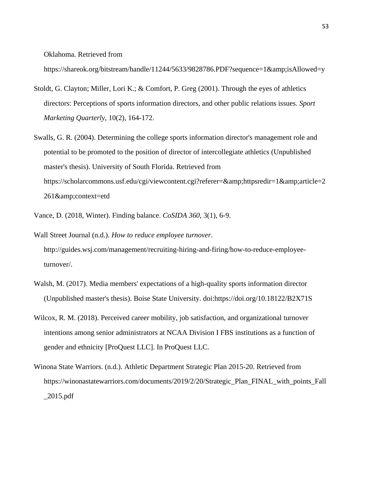Oklahoma. Retrieved from

https://shareok.org/bitstream/handle/11244/5633/9828786.PDF?sequence=1&isAllowed=y

- Stoldt, G. Clayton; Miller, Lori K.; & Comfort, P. Greg (2001). Through the eyes of athletics directors: Perceptions of sports information directors, and other public relations issues. *Sport Marketing Quarterly*, 10(2), 164-172.
- Swalls, G. R. (2004). Determining the college sports information director's management role and potential to be promoted to the position of director of intercollegiate athletics (Unpublished master's thesis). University of South Florida. Retrieved from https://scholarcommons.usf.edu/cgi/viewcontent.cgi?referer=&httpsredir=1&article=2 261&context=etd
- Vance, D. (2018, Winter). Finding balance. *CoSIDA 360*, 3(1), 6-9.
- Wall Street Journal (n.d.). *How to reduce employee turnover*. http://guides.wsj.com/management/recruiting-hiring-and-firing/how-to-reduce-employeeturnover/.
- Walsh, M. (2017). Media members' expectations of a high-quality sports information director (Unpublished master's thesis). Boise State University. doi:https://doi.org/10.18122/B2X71S
- Wilcox, R. M. (2018). Perceived career mobility, job satisfaction, and organizational turnover intentions among senior administrators at NCAA Division I FBS institutions as a function of gender and ethnicity [ProQuest LLC]. In ProQuest LLC.
- Winona State Warriors. (n.d.). Athletic Department Strategic Plan 2015-20. Retrieved from https://winonastatewarriors.com/documents/2019/2/20/Strategic\_Plan\_FINAL\_with\_points\_Fall \_2015.pdf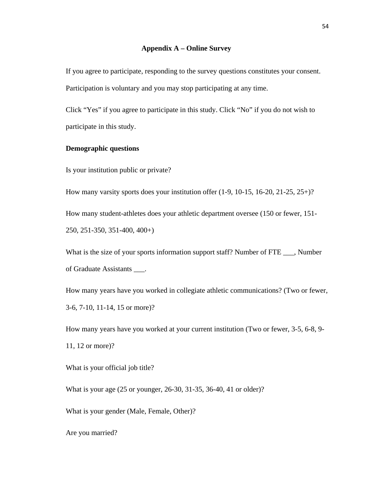#### **Appendix A – Online Survey**

<span id="page-59-0"></span>If you agree to participate, responding to the survey questions constitutes your consent. Participation is voluntary and you may stop participating at any time.

Click "Yes" if you agree to participate in this study. Click "No" if you do not wish to participate in this study.

#### **Demographic questions**

Is your institution public or private?

How many varsity sports does your institution offer (1-9, 10-15, 16-20, 21-25, 25+)?

How many student-athletes does your athletic department oversee (150 or fewer, 151- 250, 251-350, 351-400, 400+)

What is the size of your sports information support staff? Number of FTE \_\_\_, Number of Graduate Assistants \_\_\_.

How many years have you worked in collegiate athletic communications? (Two or fewer, 3-6, 7-10, 11-14, 15 or more)?

How many years have you worked at your current institution (Two or fewer, 3-5, 6-8, 9- 11, 12 or more)?

What is your official job title?

What is your age (25 or younger, 26-30, 31-35, 36-40, 41 or older)?

What is your gender (Male, Female, Other)?

Are you married?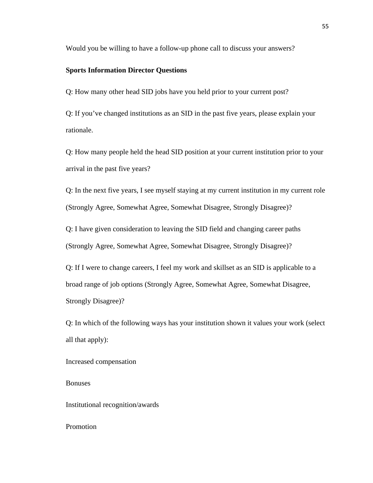Would you be willing to have a follow-up phone call to discuss your answers?

#### **Sports Information Director Questions**

Q: How many other head SID jobs have you held prior to your current post?

Q: If you've changed institutions as an SID in the past five years, please explain your rationale.

Q: How many people held the head SID position at your current institution prior to your arrival in the past five years?

Q: In the next five years, I see myself staying at my current institution in my current role (Strongly Agree, Somewhat Agree, Somewhat Disagree, Strongly Disagree)?

Q: I have given consideration to leaving the SID field and changing career paths (Strongly Agree, Somewhat Agree, Somewhat Disagree, Strongly Disagree)?

Q: If I were to change careers, I feel my work and skillset as an SID is applicable to a broad range of job options (Strongly Agree, Somewhat Agree, Somewhat Disagree, Strongly Disagree)?

Q: In which of the following ways has your institution shown it values your work (select all that apply):

```
Increased compensation
```
Bonuses

Institutional recognition/awards

Promotion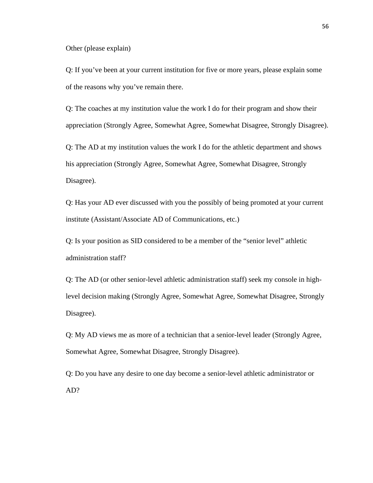Other (please explain)

Q: If you've been at your current institution for five or more years, please explain some of the reasons why you've remain there.

Q: The coaches at my institution value the work I do for their program and show their appreciation (Strongly Agree, Somewhat Agree, Somewhat Disagree, Strongly Disagree).

Q: The AD at my institution values the work I do for the athletic department and shows his appreciation (Strongly Agree, Somewhat Agree, Somewhat Disagree, Strongly Disagree).

Q: Has your AD ever discussed with you the possibly of being promoted at your current institute (Assistant/Associate AD of Communications, etc.)

Q: Is your position as SID considered to be a member of the "senior level" athletic administration staff?

Q: The AD (or other senior-level athletic administration staff) seek my console in highlevel decision making (Strongly Agree, Somewhat Agree, Somewhat Disagree, Strongly Disagree).

Q: My AD views me as more of a technician that a senior-level leader (Strongly Agree, Somewhat Agree, Somewhat Disagree, Strongly Disagree).

Q: Do you have any desire to one day become a senior-level athletic administrator or AD?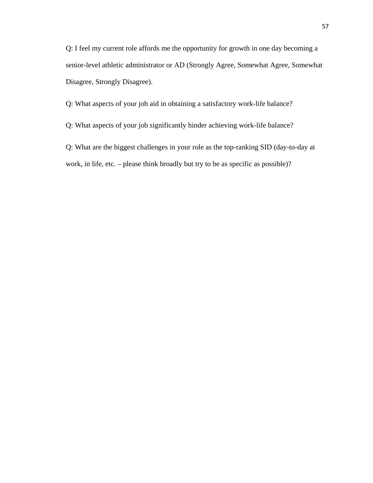Q: I feel my current role affords me the opportunity for growth in one day becoming a senior-level athletic administrator or AD (Strongly Agree, Somewhat Agree, Somewhat Disagree, Strongly Disagree).

Q: What aspects of your job aid in obtaining a satisfactory work-life balance?

Q: What aspects of your job significantly hinder achieving work-life balance?

Q: What are the biggest challenges in your role as the top-ranking SID (day-to-day at work, in life, etc. – please think broadly but try to be as specific as possible)?